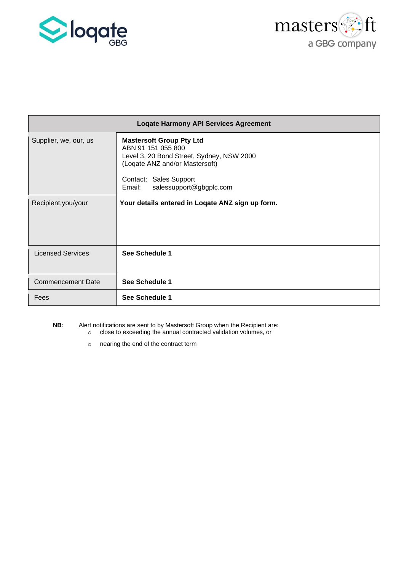



| <b>Logate Harmony API Services Agreement</b> |                                                                                                                                                                                                     |  |  |  |
|----------------------------------------------|-----------------------------------------------------------------------------------------------------------------------------------------------------------------------------------------------------|--|--|--|
| Supplier, we, our, us                        | <b>Mastersoft Group Pty Ltd</b><br>ABN 91 151 055 800<br>Level 3, 20 Bond Street, Sydney, NSW 2000<br>(Loqate ANZ and/or Mastersoft)<br>Contact: Sales Support<br>salessupport@gbgplc.com<br>Email: |  |  |  |
| Recipient, you/your                          | Your details entered in Logate ANZ sign up form.                                                                                                                                                    |  |  |  |
| <b>Licensed Services</b>                     | See Schedule 1                                                                                                                                                                                      |  |  |  |
| <b>Commencement Date</b>                     | See Schedule 1                                                                                                                                                                                      |  |  |  |
| Fees                                         | See Schedule 1                                                                                                                                                                                      |  |  |  |

**NB**: Alert notifications are sent to by Mastersoft Group when the Recipient are: o close to exceeding the annual contracted validation volumes, or

o nearing the end of the contract term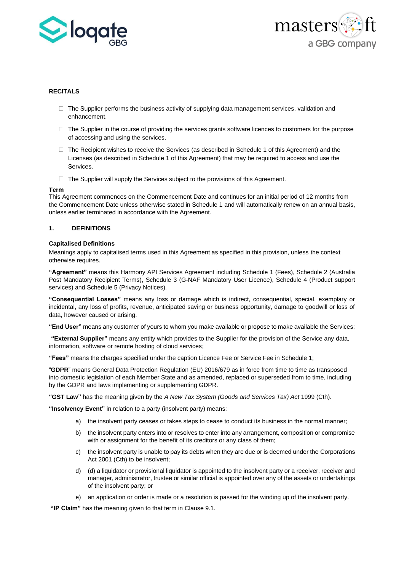



# **RECITALS**

- $\Box$  The Supplier performs the business activity of supplying data management services, validation and enhancement.
- $\Box$  The Supplier in the course of providing the services grants software licences to customers for the purpose of accessing and using the services.
- $\Box$  The Recipient wishes to receive the Services (as described in Schedule 1 of this Agreement) and the Licenses (as described in Schedule 1 of this Agreement) that may be required to access and use the Services.
- $\Box$  The Supplier will supply the Services subject to the provisions of this Agreement.

#### **Term**

This Agreement commences on the Commencement Date and continues for an initial period of 12 months from the Commencement Date unless otherwise stated in Schedule 1 and will automatically renew on an annual basis, unless earlier terminated in accordance with the Agreement.

# **1. DEFINITIONS**

#### **Capitalised Definitions**

Meanings apply to capitalised terms used in this Agreement as specified in this provision, unless the context otherwise requires.

**"Agreement"** means this Harmony API Services Agreement including Schedule 1 (Fees), Schedule 2 (Australia Post Mandatory Recipient Terms), Schedule 3 (G-NAF Mandatory User Licence), Schedule 4 (Product support services) and Schedule 5 (Privacy Notices).

**"Consequential Losses"** means any loss or damage which is indirect, consequential, special, exemplary or incidental, any loss of profits, revenue, anticipated saving or business opportunity, damage to goodwill or loss of data, however caused or arising.

**"End User"** means any customer of yours to whom you make available or propose to make available the Services;

**"External Supplier"** means any entity which provides to the Supplier for the provision of the Service any data, information, software or remote hosting of cloud services;

**"Fees"** means the charges specified under the caption Licence Fee or Service Fee in Schedule 1;

"**GDPR**" means General Data Protection Regulation (EU) 2016/679 as in force from time to time as transposed into domestic legislation of each Member State and as amended, replaced or superseded from to time, including by the GDPR and laws implementing or supplementing GDPR.

**"GST Law"** has the meaning given by the *A New Tax System (Goods and Services Tax) Act* 1999 (Cth).

**"Insolvency Event"** in relation to a party (insolvent party) means:

- a) the insolvent party ceases or takes steps to cease to conduct its business in the normal manner;
- b) the insolvent party enters into or resolves to enter into any arrangement, composition or compromise with or assignment for the benefit of its creditors or any class of them;
- c) the insolvent party is unable to pay its debts when they are due or is deemed under the Corporations Act 2001 (Cth) to be insolvent;
- d) (d) a liquidator or provisional liquidator is appointed to the insolvent party or a receiver, receiver and manager, administrator, trustee or similar official is appointed over any of the assets or undertakings of the insolvent party; or
- e) an application or order is made or a resolution is passed for the winding up of the insolvent party.

**"IP Claim"** has the meaning given to that term in Clause 9.1.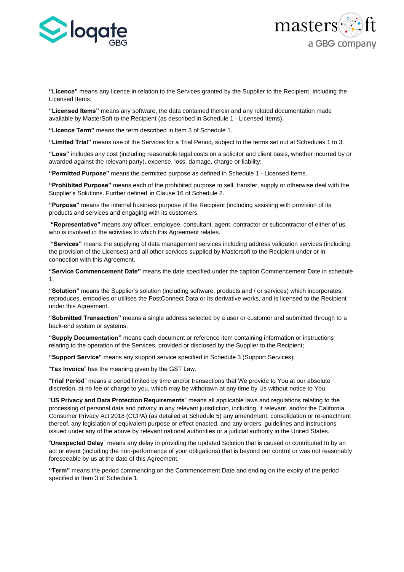



**"Licence"** means any licence in relation to the Services granted by the Supplier to the Recipient, including the Licensed Items;

**"Licensed Items"** means any software, the data contained therein and any related documentation made available by MasterSoft to the Recipient (as described in Schedule 1 - Licensed Items).

**"Licence Term"** means the term described in Item 3 of Schedule 1.

**"Limited Trial"** means use of the Services for a Trial Period, subject to the terms set out at Schedules 1 to 3.

**"Loss"** includes any cost (including reasonable legal costs on a solicitor and client basis, whether incurred by or awarded against the relevant party), expense, loss, damage, charge or liability;

**"Permitted Purpose"** means the permitted purpose as defined in Schedule 1 - Licensed Items.

**"Prohibited Purpose"** means each of the prohibited purpose to sell, transfer, supply or otherwise deal with the Supplier's Solutions. Further defined in Clause 16 of Schedule 2.

**"Purpose"** means the internal business purpose of the Recipient (including assisting with provision of its products and services and engaging with its customers.

**"Representative"** means any officer, employee, consultant, agent, contractor or subcontractor of either of us, who is involved in the activities to which this Agreement relates.

**"Services"** means the supplying of data management services including address validation services (including the provision of the Licenses) and all other services supplied by Mastersoft to the Recipient under or in connection with this Agreement.

**"Service Commencement Date"** means the date specified under the caption Commencement Date in schedule 1;

**"Solution"** means the Supplier's solution (including software, products and / or services) which incorporates, reproduces, embodies or utilises the PostConnect Data or its derivative works, and is licensed to the Recipient under this Agreement.

**"Submitted Transaction"** means a single address selected by a user or customer and submitted through to a back-end system or systems.

**"Supply Documentation"** means each document or reference item containing information or instructions relating to the operation of the Services, provided or disclosed by the Supplier to the Recipient;

**"Support Service"** means any support service specified in Schedule 3 (Support Services);

"**Tax Invoice**" has the meaning given by the GST Law.

"**Trial Period**" means a period limited by time and/or transactions that We provide to You at our absolute discretion, at no fee or charge to you, which may be withdrawn at any time by Us without notice to You.

"**US Privacy and Data Protection Requirements**" means all applicable laws and regulations relating to the processing of personal data and privacy in any relevant jurisdiction, including, if relevant, and/or the California Consumer Privacy Act 2018 (CCPA) (as detailed at Schedule 5) any amendment, consolidation or re-enactment thereof, any legislation of equivalent purpose or effect enacted, and any orders, guidelines and instructions issued under any of the above by relevant national authorities or a judicial authority in the United States.

"**Unexpected Delay**" means any delay in providing the updated Solution that is caused or contributed to by an act or event (including the non-performance of your obligations) that is beyond our control or was not reasonably foreseeable by us at the date of this Agreement.

**"Term"** means the period commencing on the Commencement Date and ending on the expiry of the period specified in Item 3 of Schedule 1;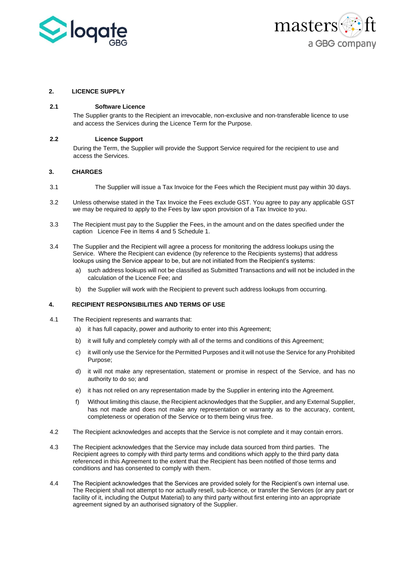



# **2. LICENCE SUPPLY**

## **2.1 Software Licence**

The Supplier grants to the Recipient an irrevocable, non-exclusive and non-transferable licence to use and access the Services during the Licence Term for the Purpose.

## **2.2 Licence Support**

During the Term, the Supplier will provide the Support Service required for the recipient to use and access the Services.

## **3. CHARGES**

- 3.1 The Supplier will issue a Tax Invoice for the Fees which the Recipient must pay within 30 days.
- 3.2 Unless otherwise stated in the Tax Invoice the Fees exclude GST. You agree to pay any applicable GST we may be required to apply to the Fees by law upon provision of a Tax Invoice to you.
- 3.3 The Recipient must pay to the Supplier the Fees, in the amount and on the dates specified under the caption Licence Fee in Items 4 and 5 Schedule 1.
- 3.4 The Supplier and the Recipient will agree a process for monitoring the address lookups using the Service. Where the Recipient can evidence (by reference to the Recipients systems) that address lookups using the Service appear to be, but are not initiated from the Recipient's systems:
	- a) such address lookups will not be classified as Submitted Transactions and will not be included in the calculation of the Licence Fee; and
	- b) the Supplier will work with the Recipient to prevent such address lookups from occurring.

# **4. RECIPIENT RESPONSIBILITIES AND TERMS OF USE**

- 4.1 The Recipient represents and warrants that:
	- a) it has full capacity, power and authority to enter into this Agreement;
	- b) it will fully and completely comply with all of the terms and conditions of this Agreement;
	- c) it will only use the Service for the Permitted Purposes and it will not use the Service for any Prohibited Purpose;
	- d) it will not make any representation, statement or promise in respect of the Service, and has no authority to do so; and
	- e) it has not relied on any representation made by the Supplier in entering into the Agreement.
	- f) Without limiting this clause, the Recipient acknowledges that the Supplier, and any External Supplier, has not made and does not make any representation or warranty as to the accuracy, content, completeness or operation of the Service or to them being virus free.
- 4.2 The Recipient acknowledges and accepts that the Service is not complete and it may contain errors.
- 4.3 The Recipient acknowledges that the Service may include data sourced from third parties. The Recipient agrees to comply with third party terms and conditions which apply to the third party data referenced in this Agreement to the extent that the Recipient has been notified of those terms and conditions and has consented to comply with them.
- 4.4 The Recipient acknowledges that the Services are provided solely for the Recipient's own internal use. The Recipient shall not attempt to nor actually resell, sub-licence, or transfer the Services (or any part or facility of it, including the Output Material) to any third party without first entering into an appropriate agreement signed by an authorised signatory of the Supplier.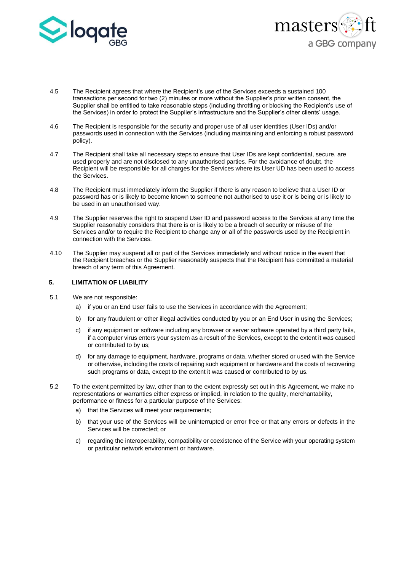



- 4.5 The Recipient agrees that where the Recipient's use of the Services exceeds a sustained 100 transactions per second for two (2) minutes or more without the Supplier's prior written consent, the Supplier shall be entitled to take reasonable steps (including throttling or blocking the Recipient's use of the Services) in order to protect the Supplier's infrastructure and the Supplier's other clients' usage.
- 4.6 The Recipient is responsible for the security and proper use of all user identities (User IDs) and/or passwords used in connection with the Services (including maintaining and enforcing a robust password policy).
- 4.7 The Recipient shall take all necessary steps to ensure that User IDs are kept confidential, secure, are used properly and are not disclosed to any unauthorised parties. For the avoidance of doubt, the Recipient will be responsible for all charges for the Services where its User UD has been used to access the Services.
- 4.8 The Recipient must immediately inform the Supplier if there is any reason to believe that a User ID or password has or is likely to become known to someone not authorised to use it or is being or is likely to be used in an unauthorised way.
- 4.9 The Supplier reserves the right to suspend User ID and password access to the Services at any time the Supplier reasonably considers that there is or is likely to be a breach of security or misuse of the Services and/or to require the Recipient to change any or all of the passwords used by the Recipient in connection with the Services.
- 4.10 The Supplier may suspend all or part of the Services immediately and without notice in the event that the Recipient breaches or the Supplier reasonably suspects that the Recipient has committed a material breach of any term of this Agreement.

# **5. LIMITATION OF LIABILITY**

- 5.1 We are not responsible:
	- a) if you or an End User fails to use the Services in accordance with the Agreement;
	- b) for any fraudulent or other illegal activities conducted by you or an End User in using the Services;
	- c) if any equipment or software including any browser or server software operated by a third party fails, if a computer virus enters your system as a result of the Services, except to the extent it was caused or contributed to by us;
	- d) for any damage to equipment, hardware, programs or data, whether stored or used with the Service or otherwise, including the costs of repairing such equipment or hardware and the costs of recovering such programs or data, except to the extent it was caused or contributed to by us.
- 5.2 To the extent permitted by law, other than to the extent expressly set out in this Agreement, we make no representations or warranties either express or implied, in relation to the quality, merchantability, performance or fitness for a particular purpose of the Services:
	- a) that the Services will meet your requirements;
	- b) that your use of the Services will be uninterrupted or error free or that any errors or defects in the Services will be corrected; or
	- c) regarding the interoperability, compatibility or coexistence of the Service with your operating system or particular network environment or hardware.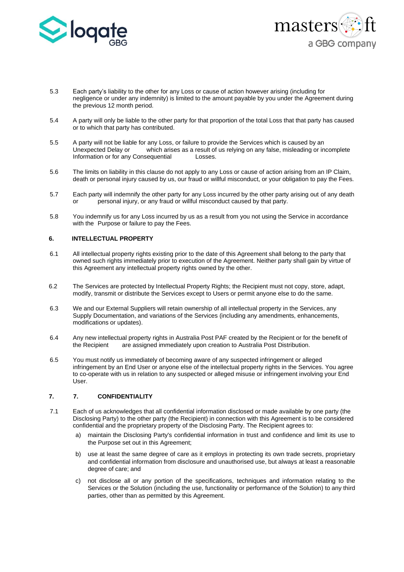



- 5.3 Each party's liability to the other for any Loss or cause of action however arising (including for negligence or under any indemnity) is limited to the amount payable by you under the Agreement during the previous 12 month period.
- 5.4 A party will only be liable to the other party for that proportion of the total Loss that that party has caused or to which that party has contributed.
- 5.5 A party will not be liable for any Loss, or failure to provide the Services which is caused by an Unexpected Delay or which arises as a result of us relying on any false, misleading or incomplete Information or for any Consequential Losses.
- 5.6 The limits on liability in this clause do not apply to any Loss or cause of action arising from an IP Claim, death or personal injury caused by us, our fraud or willful misconduct, or your obligation to pay the Fees.
- 5.7 Each party will indemnify the other party for any Loss incurred by the other party arising out of any death or personal injury, or any fraud or willful misconduct caused by that party.
- 5.8 You indemnify us for any Loss incurred by us as a result from you not using the Service in accordance with the Purpose or failure to pay the Fees.

#### **6. INTELLECTUAL PROPERTY**

- 6.1 All intellectual property rights existing prior to the date of this Agreement shall belong to the party that owned such rights immediately prior to execution of the Agreement. Neither party shall gain by virtue of this Agreement any intellectual property rights owned by the other.
- 6.2 The Services are protected by Intellectual Property Rights; the Recipient must not copy, store, adapt, modify, transmit or distribute the Services except to Users or permit anyone else to do the same.
- 6.3 We and our External Suppliers will retain ownership of all intellectual property in the Services, any Supply Documentation, and variations of the Services (including any amendments, enhancements, modifications or updates).
- 6.4 Any new intellectual property rights in Australia Post PAF created by the Recipient or for the benefit of the Recipient are assigned immediately upon creation to Australia Post Distribution.
- 6.5 You must notify us immediately of becoming aware of any suspected infringement or alleged infringement by an End User or anyone else of the intellectual property rights in the Services. You agree to co-operate with us in relation to any suspected or alleged misuse or infringement involving your End User.

# **7. 7. CONFIDENTIALITY**

- 7.1 Each of us acknowledges that all confidential information disclosed or made available by one party (the Disclosing Party) to the other party (the Recipient) in connection with this Agreement is to be considered confidential and the proprietary property of the Disclosing Party. The Recipient agrees to:
	- a) maintain the Disclosing Party's confidential information in trust and confidence and limit its use to the Purpose set out in this Agreement;
	- b) use at least the same degree of care as it employs in protecting its own trade secrets, proprietary and confidential information from disclosure and unauthorised use, but always at least a reasonable degree of care; and
	- c) not disclose all or any portion of the specifications, techniques and information relating to the Services or the Solution (including the use, functionality or performance of the Solution) to any third parties, other than as permitted by this Agreement.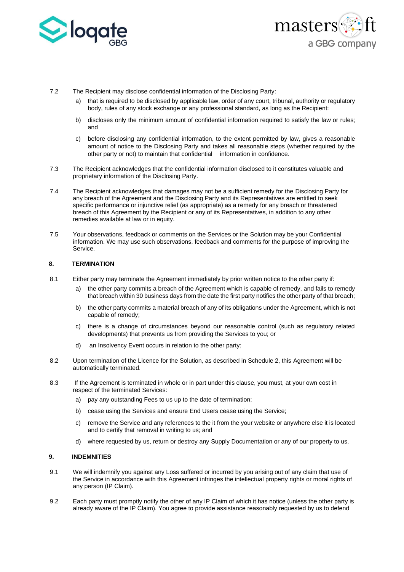



- 7.2 The Recipient may disclose confidential information of the Disclosing Party:
	- a) that is required to be disclosed by applicable law, order of any court, tribunal, authority or regulatory body, rules of any stock exchange or any professional standard, as long as the Recipient:
	- b) discloses only the minimum amount of confidential information required to satisfy the law or rules; and
	- c) before disclosing any confidential information, to the extent permitted by law, gives a reasonable amount of notice to the Disclosing Party and takes all reasonable steps (whether required by the other party or not) to maintain that confidential information in confidence.
- 7.3 The Recipient acknowledges that the confidential information disclosed to it constitutes valuable and proprietary information of the Disclosing Party.
- 7.4 The Recipient acknowledges that damages may not be a sufficient remedy for the Disclosing Party for any breach of the Agreement and the Disclosing Party and its Representatives are entitled to seek specific performance or injunctive relief (as appropriate) as a remedy for any breach or threatened breach of this Agreement by the Recipient or any of its Representatives, in addition to any other remedies available at law or in equity.
- 7.5 Your observations, feedback or comments on the Services or the Solution may be your Confidential information. We may use such observations, feedback and comments for the purpose of improving the Service.

# **8. TERMINATION**

- 8.1 Either party may terminate the Agreement immediately by prior written notice to the other party if:
	- a) the other party commits a breach of the Agreement which is capable of remedy, and fails to remedy that breach within 30 business days from the date the first party notifies the other party of that breach;
	- b) the other party commits a material breach of any of its obligations under the Agreement, which is not capable of remedy;
	- c) there is a change of circumstances beyond our reasonable control (such as regulatory related developments) that prevents us from providing the Services to you; or
	- d) an Insolvency Event occurs in relation to the other party;
- 8.2 Upon termination of the Licence for the Solution, as described in Schedule 2, this Agreement will be automatically terminated.
- 8.3 If the Agreement is terminated in whole or in part under this clause, you must, at your own cost in respect of the terminated Services:
	- a) pay any outstanding Fees to us up to the date of termination;
	- b) cease using the Services and ensure End Users cease using the Service;
	- c) remove the Service and any references to the it from the your website or anywhere else it is located and to certify that removal in writing to us; and
	- d) where requested by us, return or destroy any Supply Documentation or any of our property to us.

## **9. INDEMNITIES**

- 9.1 We will indemnify you against any Loss suffered or incurred by you arising out of any claim that use of the Service in accordance with this Agreement infringes the intellectual property rights or moral rights of any person (IP Claim).
- 9.2 Each party must promptly notify the other of any IP Claim of which it has notice (unless the other party is already aware of the IP Claim). You agree to provide assistance reasonably requested by us to defend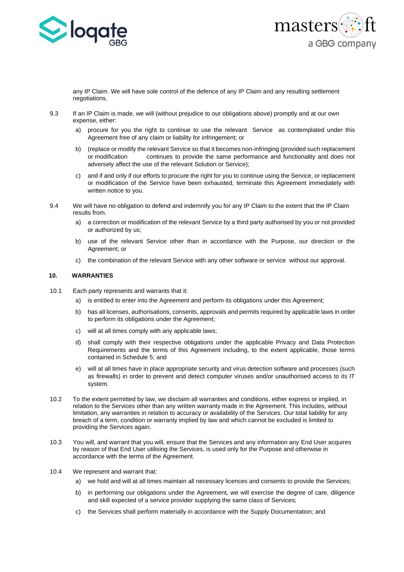



any IP Claim. We will have sole control of the defence of any IP Claim and any resulting settlement negotiations.

- 9.3 If an IP Claim is made, we will (without prejudice to our obligations above) promptly and at our own expense, either:
	- a) procure for you the right to continue to use the relevant Service as contemplated under this Agreement free of any claim or liability for infringement; or
	- b) (replace or modify the relevant Service so that it becomes non-infringing (provided such replacement or modification continues to provide the same performance and functionality and does not adversely affect the use of the relevant Solution or Service);
	- c) and if and only if our efforts to procure the right for you to continue using the Service, or replacement or modification of the Service have been exhausted, terminate this Agreement immediately with written notice to you.
- 9.4 We will have no obligation to defend and indemnify you for any IP Claim to the extent that the IP Claim results from.
	- a) a correction or modification of the relevant Service by a third party authorised by you or not provided or authorized by us;
	- b) use of the relevant Service other than in accordance with the Purpose, our direction or the Agreement; or
	- c) the combination of the relevant Service with any other software or service without our approval.

## **10. WARRANTIES**

- 10.1 Each party represents and warrants that it:
	- a) is entitled to enter into the Agreement and perform its obligations under this Agreement;
	- b) has all licenses, authorisations, consents, approvals and permits required by applicable laws in order to perform its obligations under the Agreement;
	- c) will at all times comply with any applicable laws;
	- d) shall comply with their respective obligations under the applicable Privacy and Data Protection Requirements and the terms of this Agreement including, to the extent applicable, those terms contained in Schedule 5; and
	- e) will at all times have in place appropriate security and virus detection software and processes (such as firewalls) in order to prevent and detect computer viruses and/or unauthorised access to its IT system.
- 10.2 To the extent permitted by law, we disclaim all warranties and conditions, either express or implied, in relation to the Services other than any written warranty made in the Agreement. This includes, without limitation, any warranties in relation to accuracy or availability of the Services. Our total liability for any breach of a term, condition or warranty implied by law and which cannot be excluded is limited to providing the Services again.
- 10.3 You will, and warrant that you will, ensure that the Services and any information any End User acquires by reason of that End User utilising the Services, is used only for the Purpose and otherwise in accordance with the terms of the Agreement.
- 10.4 We represent and warrant that:
	- a) we hold and will at all times maintain all necessary licences and consents to provide the Services;
	- b) in performing our obligations under the Agreement, we will exercise the degree of care, diligence and skill expected of a service provider supplying the same class of Services;
	- c) the Services shall perform materially in accordance with the Supply Documentation; and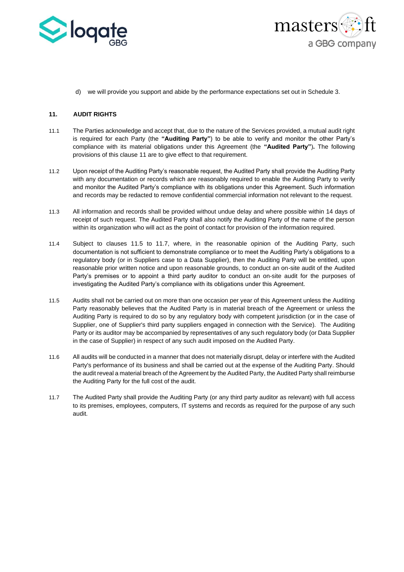



d) we will provide you support and abide by the performance expectations set out in Schedule 3.

# <span id="page-8-0"></span>**11. AUDIT RIGHTS**

- 11.1 The Parties acknowledge and accept that, due to the nature of the Services provided, a mutual audit right is required for each Party (the **"Auditing Party"**) to be able to verify and monitor the other Party's compliance with its material obligations under this Agreement (the **"Audited Party"**)**.** The following provisions of this clause [11](#page-8-0) are to give effect to that requirement.
- 11.2 Upon receipt of the Auditing Party's reasonable request, the Audited Party shall provide the Auditing Party with any documentation or records which are reasonably required to enable the Auditing Party to verify and monitor the Audited Party's compliance with its obligations under this Agreement. Such information and records may be redacted to remove confidential commercial information not relevant to the request.
- 11.3 All information and records shall be provided without undue delay and where possible within 14 days of receipt of such request. The Audited Party shall also notify the Auditing Party of the name of the person within its organization who will act as the point of contact for provision of the information required.
- 11.4 Subject to clauses 11.5 to 11.7, where, in the reasonable opinion of the Auditing Party, such documentation is not sufficient to demonstrate compliance or to meet the Auditing Party's obligations to a regulatory body (or in Suppliers case to a Data Supplier), then the Auditing Party will be entitled, upon reasonable prior written notice and upon reasonable grounds, to conduct an on-site audit of the Audited Party's premises or to appoint a third party auditor to conduct an on-site audit for the purposes of investigating the Audited Party's compliance with its obligations under this Agreement.
- 11.5 Audits shall not be carried out on more than one occasion per year of this Agreement unless the Auditing Party reasonably believes that the Audited Party is in material breach of the Agreement or unless the Auditing Party is required to do so by any regulatory body with competent jurisdiction (or in the case of Supplier, one of Supplier's third party suppliers engaged in connection with the Service). The Auditing Party or its auditor may be accompanied by representatives of any such regulatory body (or Data Supplier in the case of Supplier) in respect of any such audit imposed on the Audited Party.
- 11.6 All audits will be conducted in a manner that does not materially disrupt, delay or interfere with the Audited Party's performance of its business and shall be carried out at the expense of the Auditing Party. Should the audit reveal a material breach of the Agreement by the Audited Party, the Audited Party shall reimburse the Auditing Party for the full cost of the audit.
- 11.7 The Audited Party shall provide the Auditing Party (or any third party auditor as relevant) with full access to its premises, employees, computers, IT systems and records as required for the purpose of any such audit.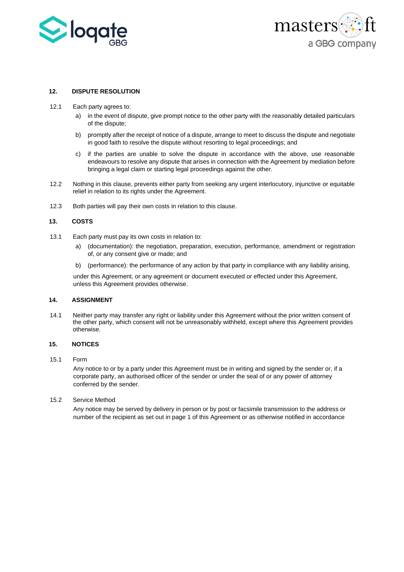



## **12. DISPUTE RESOLUTION**

- 12.1 Each party agrees to:
	- a) in the event of dispute, give prompt notice to the other party with the reasonably detailed particulars of the dispute;
	- b) promptly after the receipt of notice of a dispute, arrange to meet to discuss the dispute and negotiate in good faith to resolve the dispute without resorting to legal proceedings; and
	- c) if the parties are unable to solve the dispute in accordance with the above, use reasonable endeavours to resolve any dispute that arises in connection with the Agreement by mediation before bringing a legal claim or starting legal proceedings against the other.
- 12.2 Nothing in this clause, prevents either party from seeking any urgent interlocutory, injunctive or equitable relief in relation to its rights under the Agreement.
- 12.3 Both parties will pay their own costs in relation to this clause.

## **13. COSTS**

- 13.1 Each party must pay its own costs in relation to:
	- a) (documentation): the negotiation, preparation, execution, performance, amendment or registration of, or any consent give or made; and
	- b) (performance): the performance of any action by that party in compliance with any liability arising,

under this Agreement, or any agreement or document executed or effected under this Agreement, unless this Agreement provides otherwise.

# **14. ASSIGNMENT**

14.1 Neither party may transfer any right or liability under this Agreement without the prior written consent of the other party, which consent will not be unreasonably withheld, except where this Agreement provides otherwise.

## **15. NOTICES**

#### 15.1 Form

Any notice to or by a party under this Agreement must be in writing and signed by the sender or, if a corporate party, an authorised officer of the sender or under the seal of or any power of attorney conferred by the sender.

15.2 Service Method

Any notice may be served by delivery in person or by post or facsimile transmission to the address or number of the recipient as set out in page 1 of this Agreement or as otherwise notified in accordance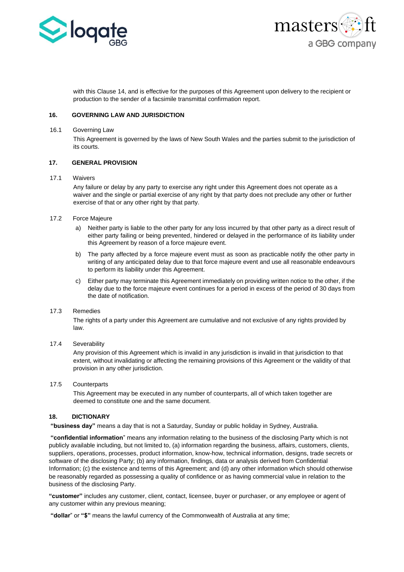



with this Clause 14, and is effective for the purposes of this Agreement upon delivery to the recipient or production to the sender of a facsimile transmittal confirmation report.

## **16. GOVERNING LAW AND JURISDICTION**

## 16.1 Governing Law

This Agreement is governed by the laws of New South Wales and the parties submit to the jurisdiction of its courts.

#### **17. GENERAL PROVISION**

## 17.1 Waivers

Any failure or delay by any party to exercise any right under this Agreement does not operate as a waiver and the single or partial exercise of any right by that party does not preclude any other or further exercise of that or any other right by that party.

# 17.2 Force Majeure

- a) Neither party is liable to the other party for any loss incurred by that other party as a direct result of either party failing or being prevented, hindered or delayed in the performance of its liability under this Agreement by reason of a force majeure event.
- b) The party affected by a force majeure event must as soon as practicable notify the other party in writing of any anticipated delay due to that force majeure event and use all reasonable endeavours to perform its liability under this Agreement.
- c) Either party may terminate this Agreement immediately on providing written notice to the other, if the delay due to the force majeure event continues for a period in excess of the period of 30 days from the date of notification.

# 17.3 Remedies

The rights of a party under this Agreement are cumulative and not exclusive of any rights provided by law.

17.4 Severability

Any provision of this Agreement which is invalid in any jurisdiction is invalid in that jurisdiction to that extent, without invalidating or affecting the remaining provisions of this Agreement or the validity of that provision in any other jurisdiction.

# 17.5 Counterparts

This Agreement may be executed in any number of counterparts, all of which taken together are deemed to constitute one and the same document.

# **18. DICTIONARY**

**"business day"** means a day that is not a Saturday, Sunday or public holiday in Sydney, Australia.

**"confidential information**" means any information relating to the business of the disclosing Party which is not publicly available including, but not limited to, (a) information regarding the business, affairs, customers, clients, suppliers, operations, processes, product information, know-how, technical information, designs, trade secrets or software of the disclosing Party; (b) any information, findings, data or analysis derived from Confidential Information; (c) the existence and terms of this Agreement; and (d) any other information which should otherwise be reasonably regarded as possessing a quality of confidence or as having commercial value in relation to the business of the disclosing Party.

**"customer"** includes any customer, client, contact, licensee, buyer or purchaser, or any employee or agent of any customer within any previous meaning;

**"dollar**" or **"\$"** means the lawful currency of the Commonwealth of Australia at any time;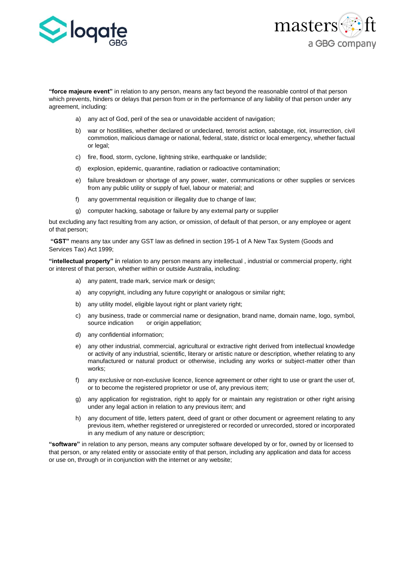



**"force majeure event"** in relation to any person, means any fact beyond the reasonable control of that person which prevents, hinders or delays that person from or in the performance of any liability of that person under any agreement, including:

- a) any act of God, peril of the sea or unavoidable accident of navigation;
- b) war or hostilities, whether declared or undeclared, terrorist action, sabotage, riot, insurrection, civil commotion, malicious damage or national, federal, state, district or local emergency, whether factual or legal;
- c) fire, flood, storm, cyclone, lightning strike, earthquake or landslide;
- d) explosion, epidemic, quarantine, radiation or radioactive contamination;
- e) failure breakdown or shortage of any power, water, communications or other supplies or services from any public utility or supply of fuel, labour or material; and
- f) any governmental requisition or illegality due to change of law;
- g) computer hacking, sabotage or failure by any external party or supplier

but excluding any fact resulting from any action, or omission, of default of that person, or any employee or agent of that person;

**"GST"** means any tax under any GST law as defined in section 195-1 of A New Tax System (Goods and Services Tax) Act 1999;

**"intellectual property" i**n relation to any person means any intellectual , industrial or commercial property, right or interest of that person, whether within or outside Australia, including:

- a) any patent, trade mark, service mark or design;
- a) any copyright, including any future copyright or analogous or similar right;
- b) any utility model, eligible layout right or plant variety right;
- c) any business, trade or commercial name or designation, brand name, domain name, logo, symbol, source indication or origin appellation;
- d) any confidential information;
- e) any other industrial, commercial, agricultural or extractive right derived from intellectual knowledge or activity of any industrial, scientific, literary or artistic nature or description, whether relating to any manufactured or natural product or otherwise, including any works or subject-matter other than works;
- f) any exclusive or non-exclusive licence, licence agreement or other right to use or grant the user of, or to become the registered proprietor or use of, any previous item;
- g) any application for registration, right to apply for or maintain any registration or other right arising under any legal action in relation to any previous item; and
- h) any document of title, letters patent, deed of grant or other document or agreement relating to any previous item, whether registered or unregistered or recorded or unrecorded, stored or incorporated in any medium of any nature or description;

**"software"** in relation to any person, means any computer software developed by or for, owned by or licensed to that person, or any related entity or associate entity of that person, including any application and data for access or use on, through or in conjunction with the internet or any website;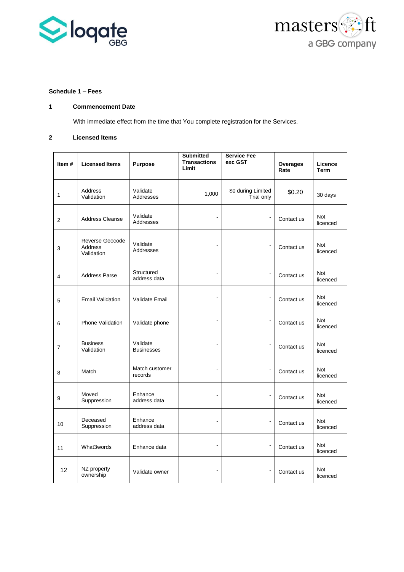



# **Schedule 1 – Fees**

# **1 Commencement Date**

With immediate effect from the time that You complete registration for the Services.

# **2 Licensed Items**

| Item#          | <b>Licensed Items</b>                    | Purpose                       | <b>Submitted</b><br><b>Transactions</b><br>Limit | <b>Service Fee</b><br>exc GST    | <b>Overages</b><br>Rate | Licence<br><b>Term</b> |
|----------------|------------------------------------------|-------------------------------|--------------------------------------------------|----------------------------------|-------------------------|------------------------|
| $\mathbf{1}$   | Address<br>Validation                    | Validate<br>Addresses         | 1,000                                            | \$0 during Limited<br>Trial only | \$0.20                  | 30 days                |
| 2              | <b>Address Cleanse</b>                   | Validate<br>Addresses         |                                                  | $\blacksquare$                   | Contact us              | Not<br>licenced        |
| 3              | Reverse Geocode<br>Address<br>Validation | Validate<br>Addresses         |                                                  |                                  | Contact us              | Not<br>licenced        |
| $\overline{4}$ | <b>Address Parse</b>                     | Structured<br>address data    | $\blacksquare$                                   | $\blacksquare$                   | Contact us              | Not<br>licenced        |
| 5              | <b>Email Validation</b>                  | Validate Email                |                                                  | $\blacksquare$                   | Contact us              | Not<br>licenced        |
| 6              | <b>Phone Validation</b>                  | Validate phone                |                                                  | $\blacksquare$                   | Contact us              | Not<br>licenced        |
| $\overline{7}$ | <b>Business</b><br>Validation            | Validate<br><b>Businesses</b> | $\blacksquare$                                   | $\overline{\phantom{a}}$         | Contact us              | Not<br>licenced        |
| 8              | Match                                    | Match customer<br>records     |                                                  | $\overline{\phantom{a}}$         | Contact us              | Not<br>licenced        |
| 9              | Moved<br>Suppression                     | Enhance<br>address data       |                                                  | $\overline{a}$                   | Contact us              | Not<br>licenced        |
| 10             | Deceased<br>Suppression                  | Enhance<br>address data       |                                                  | $\overline{a}$                   | Contact us              | Not<br>licenced        |
| 11             | What3words                               | Enhance data                  |                                                  | $\overline{\phantom{a}}$         | Contact us              | Not<br>licenced        |
| 12             | NZ property<br>ownership                 | Validate owner                | $\blacksquare$                                   |                                  | Contact us              | Not<br>licenced        |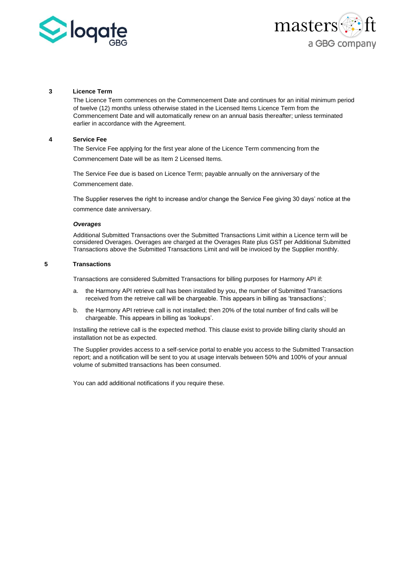



## **3 Licence Term**

The Licence Term commences on the Commencement Date and continues for an initial minimum period of twelve (12) months unless otherwise stated in the Licensed Items Licence Term from the Commencement Date and will automatically renew on an annual basis thereafter; unless terminated earlier in accordance with the Agreement.

#### **4 Service Fee**

The Service Fee applying for the first year alone of the Licence Term commencing from the Commencement Date will be as Item 2 Licensed Items.

The Service Fee due is based on Licence Term; payable annually on the anniversary of the Commencement date.

The Supplier reserves the right to increase and/or change the Service Fee giving 30 days' notice at the commence date anniversary.

#### *Overages*

Additional Submitted Transactions over the Submitted Transactions Limit within a Licence term will be considered Overages. Overages are charged at the Overages Rate plus GST per Additional Submitted Transactions above the Submitted Transactions Limit and will be invoiced by the Supplier monthly.

## **5 Transactions**

Transactions are considered Submitted Transactions for billing purposes for Harmony API if:

- a. the Harmony API retrieve call has been installed by you, the number of Submitted Transactions received from the retreive call will be chargeable. This appears in billing as 'transactions';
- b. the Harmony API retrieve call is not installed; then 20% of the total number of find calls will be chargeable. This appears in billing as 'lookups'.

Installing the retrieve call is the expected method. This clause exist to provide billing clarity should an installation not be as expected.

The Supplier provides access to a self-service portal to enable you access to the Submitted Transaction report; and a notification will be sent to you at usage intervals between 50% and 100% of your annual volume of submitted transactions has been consumed.

You can add additional notifications if you require these.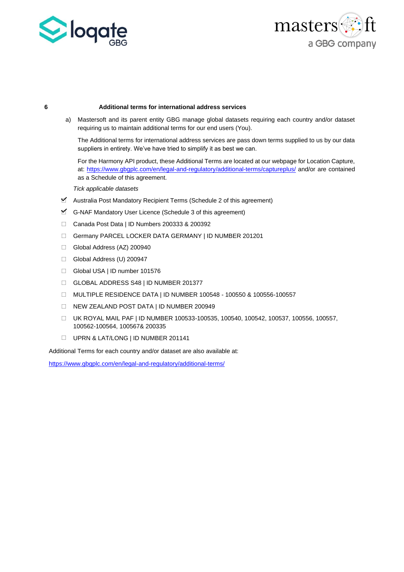



#### **6 Additional terms for international address services**

a) Mastersoft and its parent entity GBG manage global datasets requiring each country and/or dataset requiring us to maintain additional terms for our end users (You).

The Additional terms for international address services are pass down terms supplied to us by our data suppliers in entirety. We've have tried to simplify it as best we can.

For the Harmony API product, these Additional Terms are located at our webpage for Location Capture, at:<https://www.gbgplc.com/en/legal-and-regulatory/additional-terms/captureplus/> and/or are contained as a Schedule of this agreement.

*Tick applicable datasets*

- $\triangleright$  Australia Post Mandatory Recipient Terms (Schedule 2 of this agreement)
- $\mathbb{I}$  G-NAF Mandatory User Licence (Schedule 3 of this agreement)
- Canada Post Data | ID Numbers 200333 & 200392
- Germany PARCEL LOCKER DATA GERMANY | ID NUMBER 201201
- Global Address (AZ) 200940
- Global Address (U) 200947
- Global USA | ID number 101576
- GLOBAL ADDRESS S48 | ID NUMBER 201377
- MULTIPLE RESIDENCE DATA | ID NUMBER 100548 100550 & 100556-100557
- NEW ZEALAND POST DATA | ID NUMBER 200949
- UK ROYAL MAIL PAF | ID NUMBER 100533-100535, 100540, 100542, 100537, 100556, 100557, 100562-100564, 100567& 200335
- UPRN & LAT/LONG | ID NUMBER 201141

Additional Terms for each country and/or dataset are also available at:

<https://www.gbgplc.com/en/legal-and-regulatory/additional-terms/>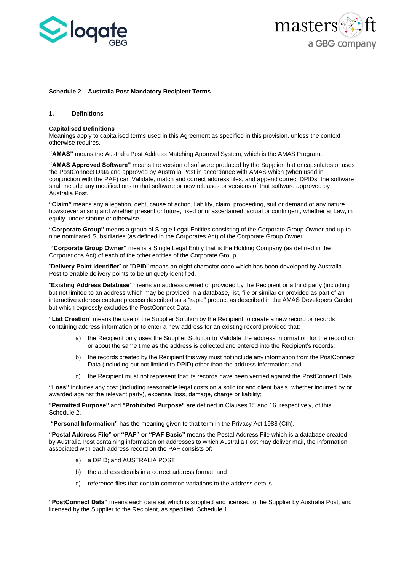



#### **Schedule 2 – Australia Post Mandatory Recipient Terms**

#### **1. Definitions**

#### **Capitalised Definitions**

Meanings apply to capitalised terms used in this Agreement as specified in this provision, unless the context otherwise requires.

**"AMAS"** means the Australia Post Address Matching Approval System, which is the AMAS Program.

**"AMAS Approved Software"** means the version of software produced by the Supplier that encapsulates or uses the PostConnect Data and approved by Australia Post in accordance with AMAS which (when used in conjunction with the PAF) can Validate, match and correct address files, and append correct DPIDs, the software shall include any modifications to that software or new releases or versions of that software approved by Australia Post.

**"Claim"** means any allegation, debt, cause of action, liability, claim, proceeding, suit or demand of any nature howsoever arising and whether present or future, fixed or unascertained, actual or contingent, whether at Law, in equity, under statute or otherwise.

**"Corporate Group"** means a group of Single Legal Entities consisting of the Corporate Group Owner and up to nine nominated Subsidiaries (as defined in the Corporates Act) of the Corporate Group Owner.

**"Corporate Group Owner"** means a Single Legal Entity that is the Holding Company (as defined in the Corporations Act) of each of the other entities of the Corporate Group.

"**Delivery Point Identifier**" or "**DPID**" means an eight character code which has been developed by Australia Post to enable delivery points to be uniquely identified.

"**Existing Address Database**" means an address owned or provided by the Recipient or a third party (including but not limited to an address which may be provided in a database, list, file or similar or provided as part of an interactive address capture process described as a "rapid" product as described in the AMAS Developers Guide) but which expressly excludes the PostConnect Data.

**"List Creation**" means the use of the Supplier Solution by the Recipient to create a new record or records containing address information or to enter a new address for an existing record provided that:

- a) the Recipient only uses the Supplier Solution to Validate the address information for the record on or about the same time as the address is collected and entered into the Recipient's records;
- b) the records created by the Recipient this way must not include any information from the PostConnect Data (including but not limited to DPID) other than the address information; and
- c) the Recipient must not represent that its records have been verified against the PostConnect Data.

**"Loss"** includes any cost (including reasonable legal costs on a solicitor and client basis, whether incurred by or awarded against the relevant party), expense, loss, damage, charge or liability;

**"Permitted Purpose"** and **"Prohibited Purpose"** are defined in Clauses 15 and 16, respectively, of this Schedule 2.

**"Personal Information"** has the meaning given to that term in the Privacy Act 1988 (Cth).

**"Postal Address File" or "PAF" or "PAF Basic"** means the Postal Address File which is a database created by Australia Post containing information on addresses to which Australia Post may deliver mail, the information associated with each address record on the PAF consists of:

- a) a DPID; and AUSTRALIA POST
- b) the address details in a correct address format; and
- c) reference files that contain common variations to the address details.

**"PostConnect Data"** means each data set which is supplied and licensed to the Supplier by Australia Post, and licensed by the Supplier to the Recipient, as specified Schedule 1.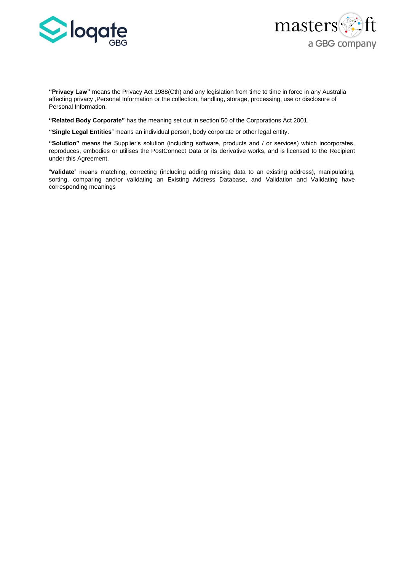



**"Privacy Law"** means the Privacy Act 1988(Cth) and any legislation from time to time in force in any Australia affecting privacy ,Personal Information or the collection, handling, storage, processing, use or disclosure of Personal Information.

**"Related Body Corporate"** has the meaning set out in section 50 of the Corporations Act 2001.

**"Single Legal Entities**" means an individual person, body corporate or other legal entity.

**"Solution"** means the Supplier's solution (including software, products and / or services) which incorporates, reproduces, embodies or utilises the PostConnect Data or its derivative works, and is licensed to the Recipient under this Agreement.

"**Validate**" means matching, correcting (including adding missing data to an existing address), manipulating, sorting, comparing and/or validating an Existing Address Database, and Validation and Validating have corresponding meanings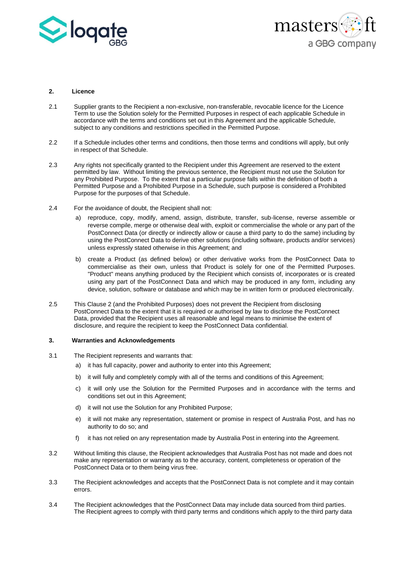



## **2. Licence**

- 2.1 Supplier grants to the Recipient a non-exclusive, non-transferable, revocable licence for the Licence Term to use the Solution solely for the Permitted Purposes in respect of each applicable Schedule in accordance with the terms and conditions set out in this Agreement and the applicable Schedule, subject to any conditions and restrictions specified in the Permitted Purpose.
- 2.2 If a Schedule includes other terms and conditions, then those terms and conditions will apply, but only in respect of that Schedule.
- 2.3 Any rights not specifically granted to the Recipient under this Agreement are reserved to the extent permitted by law. Without limiting the previous sentence, the Recipient must not use the Solution for any Prohibited Purpose. To the extent that a particular purpose falls within the definition of both a Permitted Purpose and a Prohibited Purpose in a Schedule, such purpose is considered a Prohibited Purpose for the purposes of that Schedule.
- 2.4 For the avoidance of doubt, the Recipient shall not:
	- a) reproduce, copy, modify, amend, assign, distribute, transfer, sub-license, reverse assemble or reverse compile, merge or otherwise deal with, exploit or commercialise the whole or any part of the PostConnect Data (or directly or indirectly allow or cause a third party to do the same) including by using the PostConnect Data to derive other solutions (including software, products and/or services) unless expressly stated otherwise in this Agreement; and
	- b) create a Product (as defined below) or other derivative works from the PostConnect Data to commercialise as their own, unless that Product is solely for one of the Permitted Purposes. "Product" means anything produced by the Recipient which consists of, incorporates or is created using any part of the PostConnect Data and which may be produced in any form, including any device, solution, software or database and which may be in written form or produced electronically.
- 2.5 This Clause 2 (and the Prohibited Purposes) does not prevent the Recipient from disclosing PostConnect Data to the extent that it is required or authorised by law to disclose the PostConnect Data, provided that the Recipient uses all reasonable and legal means to minimise the extent of disclosure, and require the recipient to keep the PostConnect Data confidential.

## **3. Warranties and Acknowledgements**

- 3.1 The Recipient represents and warrants that:
	- a) it has full capacity, power and authority to enter into this Agreement;
	- b) it will fully and completely comply with all of the terms and conditions of this Agreement;
	- c) it will only use the Solution for the Permitted Purposes and in accordance with the terms and conditions set out in this Agreement;
	- d) it will not use the Solution for any Prohibited Purpose;
	- e) it will not make any representation, statement or promise in respect of Australia Post, and has no authority to do so; and
	- f) it has not relied on any representation made by Australia Post in entering into the Agreement.
- 3.2 Without limiting this clause, the Recipient acknowledges that Australia Post has not made and does not make any representation or warranty as to the accuracy, content, completeness or operation of the PostConnect Data or to them being virus free.
- 3.3 The Recipient acknowledges and accepts that the PostConnect Data is not complete and it may contain errors.
- 3.4 The Recipient acknowledges that the PostConnect Data may include data sourced from third parties. The Recipient agrees to comply with third party terms and conditions which apply to the third party data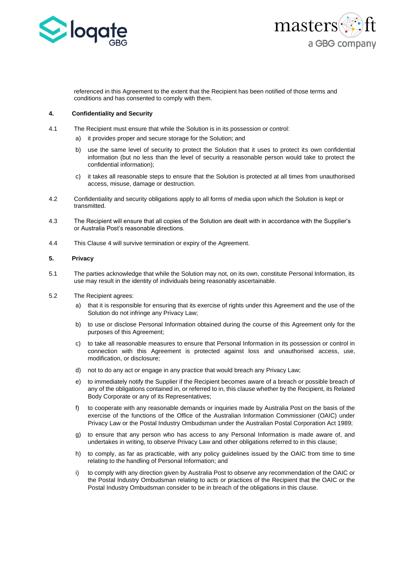



referenced in this Agreement to the extent that the Recipient has been notified of those terms and conditions and has consented to comply with them.

## **4. Confidentiality and Security**

- 4.1 The Recipient must ensure that while the Solution is in its possession or control:
	- a) it provides proper and secure storage for the Solution; and
	- b) use the same level of security to protect the Solution that it uses to protect its own confidential information (but no less than the level of security a reasonable person would take to protect the confidential information);
	- c) it takes all reasonable steps to ensure that the Solution is protected at all times from unauthorised access, misuse, damage or destruction.
- 4.2 Confidentiality and security obligations apply to all forms of media upon which the Solution is kept or transmitted.
- 4.3 The Recipient will ensure that all copies of the Solution are dealt with in accordance with the Supplier's or Australia Post's reasonable directions.
- 4.4 This Clause 4 will survive termination or expiry of the Agreement.

#### **5. Privacy**

- 5.1 The parties acknowledge that while the Solution may not, on its own, constitute Personal Information, its use may result in the identity of individuals being reasonably ascertainable.
- 5.2 The Recipient agrees:
	- a) that it is responsible for ensuring that its exercise of rights under this Agreement and the use of the Solution do not infringe any Privacy Law;
	- b) to use or disclose Personal Information obtained during the course of this Agreement only for the purposes of this Agreement;
	- c) to take all reasonable measures to ensure that Personal Information in its possession or control in connection with this Agreement is protected against loss and unauthorised access, use, modification, or disclosure;
	- d) not to do any act or engage in any practice that would breach any Privacy Law;
	- e) to immediately notify the Supplier if the Recipient becomes aware of a breach or possible breach of any of the obligations contained in, or referred to in, this clause whether by the Recipient, its Related Body Corporate or any of its Representatives;
	- f) to cooperate with any reasonable demands or inquiries made by Australia Post on the basis of the exercise of the functions of the Office of the Australian Information Commissioner (OAIC) under Privacy Law or the Postal Industry Ombudsman under the Australian Postal Corporation Act 1989;
	- g) to ensure that any person who has access to any Personal Information is made aware of, and undertakes in writing, to observe Privacy Law and other obligations referred to in this clause;
	- h) to comply, as far as practicable, with any policy guidelines issued by the OAIC from time to time relating to the handling of Personal Information; and
	- i) to comply with any direction given by Australia Post to observe any recommendation of the OAIC or the Postal Industry Ombudsman relating to acts or practices of the Recipient that the OAIC or the Postal Industry Ombudsman consider to be in breach of the obligations in this clause.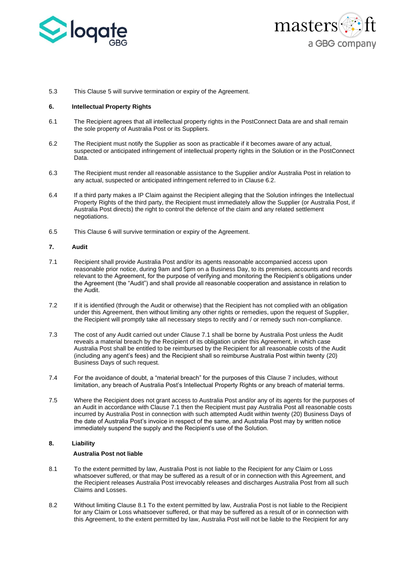



5.3 This Clause 5 will survive termination or expiry of the Agreement.

#### **6. Intellectual Property Rights**

- 6.1 The Recipient agrees that all intellectual property rights in the PostConnect Data are and shall remain the sole property of Australia Post or its Suppliers.
- 6.2 The Recipient must notify the Supplier as soon as practicable if it becomes aware of any actual, suspected or anticipated infringement of intellectual property rights in the Solution or in the PostConnect Data.
- 6.3 The Recipient must render all reasonable assistance to the Supplier and/or Australia Post in relation to any actual, suspected or anticipated infringement referred to in Clause 6.2.
- 6.4 If a third party makes a IP Claim against the Recipient alleging that the Solution infringes the Intellectual Property Rights of the third party, the Recipient must immediately allow the Supplier (or Australia Post, if Australia Post directs) the right to control the defence of the claim and any related settlement negotiations.
- 6.5 This Clause 6 will survive termination or expiry of the Agreement.

#### **7. Audit**

- <span id="page-19-0"></span>7.1 Recipient shall provide Australia Post and/or its agents reasonable accompanied access upon reasonable prior notice, during 9am and 5pm on a Business Day, to its premises, accounts and records relevant to the Agreement, for the purpose of verifying and monitoring the Recipient's obligations under the Agreement (the "Audit") and shall provide all reasonable cooperation and assistance in relation to the Audit.
- 7.2 If it is identified (through the Audit or otherwise) that the Recipient has not complied with an obligation under this Agreement, then without limiting any other rights or remedies, upon the request of Supplier, the Recipient will promptly take all necessary steps to rectify and / or remedy such non-compliance.
- 7.3 The cost of any Audit carried out under Clause [7.1](#page-19-0) shall be borne by Australia Post unless the Audit reveals a material breach by the Recipient of its obligation under this Agreement, in which case Australia Post shall be entitled to be reimbursed by the Recipient for all reasonable costs of the Audit (including any agent's fees) and the Recipient shall so reimburse Australia Post within twenty (20) Business Days of such request.
- 7.4 For the avoidance of doubt, a "material breach" for the purposes of this Clause 7 includes, without limitation, any breach of Australia Post's Intellectual Property Rights or any breach of material terms.
- 7.5 Where the Recipient does not grant access to Australia Post and/or any of its agents for the purposes of an Audit in accordance with Clause 7.1 then the Recipient must pay Australia Post all reasonable costs incurred by Australia Post in connection with such attempted Audit within twenty (20) Business Days of the date of Australia Post's invoice in respect of the same, and Australia Post may by written notice immediately suspend the supply and the Recipient's use of the Solution.

## **8. Liability**

#### **Australia Post not liable**

- <span id="page-19-1"></span>8.1 To the extent permitted by law, Australia Post is not liable to the Recipient for any Claim or Loss whatsoever suffered, or that may be suffered as a result of or in connection with this Agreement, and the Recipient releases Australia Post irrevocably releases and discharges Australia Post from all such Claims and Losses.
- 8.2 Without limiting Clause 8.1 [To the extent permitted by law, Australia Post is not](#page-19-1) liable to the Recipient [for any Claim or Loss whatsoever suffered, or that may be suffered as a result of or in connection with](#page-19-1)  [this Agreement,](#page-19-1) to the extent permitted by law, Australia Post will not be liable to the Recipient for any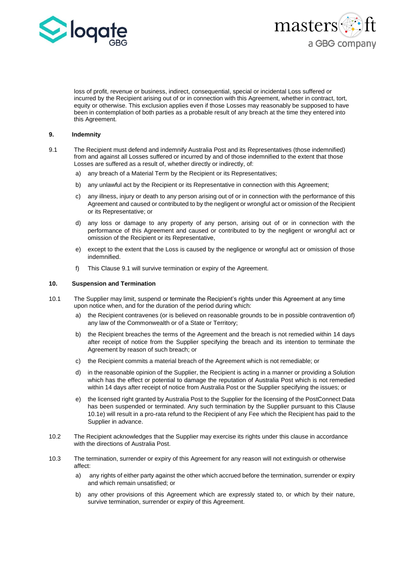



loss of profit, revenue or business, indirect, consequential, special or incidental Loss suffered or incurred by the Recipient arising out of or in connection with this Agreement, whether in contract, tort, equity or otherwise. This exclusion applies even if those Losses may reasonably be supposed to have been in contemplation of both parties as a probable result of any breach at the time they entered into this Agreement.

#### **9. Indemnity**

- 9.1 The Recipient must defend and indemnify Australia Post and its Representatives (those indemnified) from and against all Losses suffered or incurred by and of those indemnified to the extent that those Losses are suffered as a result of, whether directly or indirectly, of:
	- a) any breach of a Material Term by the Recipient or its Representatives;
	- b) any unlawful act by the Recipient or its Representative in connection with this Agreement:
	- c) any illness, injury or death to any person arising out of or in connection with the performance of this Agreement and caused or contributed to by the negligent or wrongful act or omission of the Recipient or its Representative; or
	- d) any loss or damage to any property of any person, arising out of or in connection with the performance of this Agreement and caused or contributed to by the negligent or wrongful act or omission of the Recipient or its Representative,
	- e) except to the extent that the Loss is caused by the negligence or wrongful act or omission of those indemnified.
	- f) This Clause 9.1 will survive termination or expiry of the Agreement.

#### **10. Suspension and Termination**

- 10.1 The Supplier may limit, suspend or terminate the Recipient's rights under this Agreement at any time upon notice when, and for the duration of the period during which:
	- a) the Recipient contravenes (or is believed on reasonable grounds to be in possible contravention of) any law of the Commonwealth or of a State or Territory;
	- b) the Recipient breaches the terms of the Agreement and the breach is not remedied within 14 days after receipt of notice from the Supplier specifying the breach and its intention to terminate the Agreement by reason of such breach; or
	- c) the Recipient commits a material breach of the Agreement which is not remediable; or
	- d) in the reasonable opinion of the Supplier, the Recipient is acting in a manner or providing a Solution which has the effect or potential to damage the reputation of Australia Post which is not remedied within 14 days after receipt of notice from Australia Post or the Supplier specifying the issues; or
	- e) the licensed right granted by Australia Post to the Supplier for the licensing of the PostConnect Data has been suspended or terminated. Any such termination by the Supplier pursuant to this Clause 10.1e) will result in a pro-rata refund to the Recipient of any Fee which the Recipient has paid to the Supplier in advance.
- 10.2 The Recipient acknowledges that the Supplier may exercise its rights under this clause in accordance with the directions of Australia Post.
- 10.3 The termination, surrender or expiry of this Agreement for any reason will not extinguish or otherwise affect:
	- a) any rights of either party against the other which accrued before the termination, surrender or expiry and which remain unsatisfied; or
	- b) any other provisions of this Agreement which are expressly stated to, or which by their nature, survive termination, surrender or expiry of this Agreement.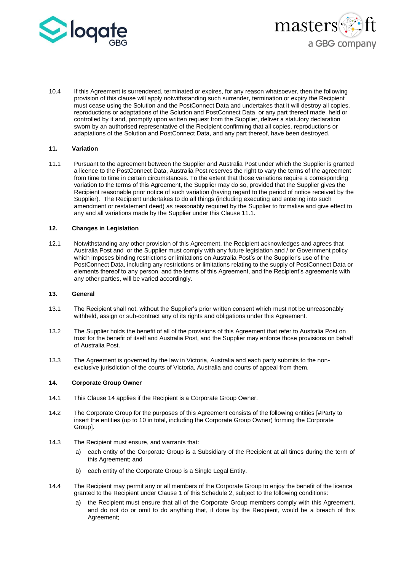



10.4 If this Agreement is surrendered, terminated or expires, for any reason whatsoever, then the following provision of this clause will apply notwithstanding such surrender, termination or expiry the Recipient must cease using the Solution and the PostConnect Data and undertakes that it will destroy all copies, reproductions or adaptations of the Solution and PostConnect Data, or any part thereof made, held or controlled by it and, promptly upon written request from the Supplier, deliver a statutory declaration sworn by an authorised representative of the Recipient confirming that all copies, reproductions or adaptations of the Solution and PostConnect Data, and any part thereof, have been destroyed.

## **11. Variation**

11.1 Pursuant to the agreement between the Supplier and Australia Post under which the Supplier is granted a licence to the PostConnect Data, Australia Post reserves the right to vary the terms of the agreement from time to time in certain circumstances. To the extent that those variations require a corresponding variation to the terms of this Agreement, the Supplier may do so, provided that the Supplier gives the Recipient reasonable prior notice of such variation (having regard to the period of notice received by the Supplier). The Recipient undertakes to do all things (including executing and entering into such amendment or restatement deed) as reasonably required by the Supplier to formalise and give effect to any and all variations made by the Supplier under this Clause 11.1.

## **12. Changes in Legislation**

12.1 Notwithstanding any other provision of this Agreement, the Recipient acknowledges and agrees that Australia Post and or the Supplier must comply with any future legislation and / or Government policy which imposes binding restrictions or limitations on Australia Post's or the Supplier's use of the PostConnect Data, including any restrictions or limitations relating to the supply of PostConnect Data or elements thereof to any person, and the terms of this Agreement, and the Recipient's agreements with any other parties, will be varied accordingly.

## **13. General**

- 13.1 The Recipient shall not, without the Supplier's prior written consent which must not be unreasonably withheld, assign or sub-contract any of its rights and obligations under this Agreement.
- 13.2 The Supplier holds the benefit of all of the provisions of this Agreement that refer to Australia Post on trust for the benefit of itself and Australia Post, and the Supplier may enforce those provisions on behalf of Australia Post.
- 13.3 The Agreement is governed by the law in Victoria, Australia and each party submits to the nonexclusive jurisdiction of the courts of Victoria, Australia and courts of appeal from them.

#### **14. Corporate Group Owner**

- 14.1 This Clause 14 applies if the Recipient is a Corporate Group Owner.
- 14.2 The Corporate Group for the purposes of this Agreement consists of the following entities [#Party to insert the entities (up to 10 in total, including the Corporate Group Owner) forming the Corporate Group].
- 14.3 The Recipient must ensure, and warrants that:
	- a) each entity of the Corporate Group is a Subsidiary of the Recipient at all times during the term of this Agreement; and
	- b) each entity of the Corporate Group is a Single Legal Entity.
- 14.4 The Recipient may permit any or all members of the Corporate Group to enjoy the benefit of the licence granted to the Recipient under Clause 1 of this Schedule 2, subject to the following conditions:
	- a) the Recipient must ensure that all of the Corporate Group members comply with this Agreement, and do not do or omit to do anything that, if done by the Recipient, would be a breach of this Agreement;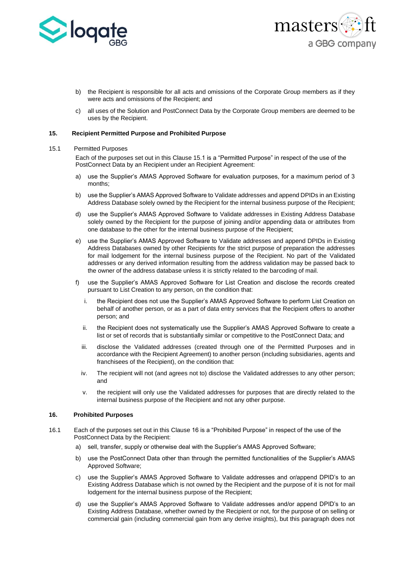



- b) the Recipient is responsible for all acts and omissions of the Corporate Group members as if they were acts and omissions of the Recipient; and
- c) all uses of the Solution and PostConnect Data by the Corporate Group members are deemed to be uses by the Recipient.

#### **15. Recipient Permitted Purpose and Prohibited Purpose**

#### 15.1 Permitted Purposes

Each of the purposes set out in this Clause 15.1 is a "Permitted Purpose" in respect of the use of the PostConnect Data by an Recipient under an Recipient Agreement:

- a) use the Supplier's AMAS Approved Software for evaluation purposes, for a maximum period of 3 months;
- b) use the Supplier's AMAS Approved Software to Validate addresses and append DPIDs in an Existing Address Database solely owned by the Recipient for the internal business purpose of the Recipient;
- d) use the Supplier's AMAS Approved Software to Validate addresses in Existing Address Database solely owned by the Recipient for the purpose of joining and/or appending data or attributes from one database to the other for the internal business purpose of the Recipient;
- e) use the Supplier's AMAS Approved Software to Validate addresses and append DPIDs in Existing Address Databases owned by other Recipients for the strict purpose of preparation the addresses for mail lodgement for the internal business purpose of the Recipient. No part of the Validated addresses or any derived information resulting from the address validation may be passed back to the owner of the address database unless it is strictly related to the barcoding of mail.
- f) use the Supplier's AMAS Approved Software for List Creation and disclose the records created pursuant to List Creation to any person, on the condition that:
	- i. the Recipient does not use the Supplier's AMAS Approved Software to perform List Creation on behalf of another person, or as a part of data entry services that the Recipient offers to another person; and
	- ii. the Recipient does not systematically use the Supplier's AMAS Approved Software to create a list or set of records that is substantially similar or competitive to the PostConnect Data; and
	- iii. disclose the Validated addresses (created through one of the Permitted Purposes and in accordance with the Recipient Agreement) to another person (including subsidiaries, agents and franchisees of the Recipient), on the condition that:
	- iv. The recipient will not (and agrees not to) disclose the Validated addresses to any other person; and
	- v. the recipient will only use the Validated addresses for purposes that are directly related to the internal business purpose of the Recipient and not any other purpose.

#### **16. Prohibited Purposes**

- 16.1 Each of the purposes set out in this Clause 16 is a "Prohibited Purpose" in respect of the use of the PostConnect Data by the Recipient:
	- a) sell, transfer, supply or otherwise deal with the Supplier's AMAS Approved Software;
	- b) use the PostConnect Data other than through the permitted functionalities of the Supplier's AMAS Approved Software;
	- c) use the Supplier's AMAS Approved Software to Validate addresses and or/append DPID's to an Existing Address Database which is not owned by the Recipient and the purpose of it is not for mail lodgement for the internal business purpose of the Recipient;
	- d) use the Supplier's AMAS Approved Software to Validate addresses and/or append DPID's to an Existing Address Database, whether owned by the Recipient or not, for the purpose of on selling or commercial gain (including commercial gain from any derive insights), but this paragraph does not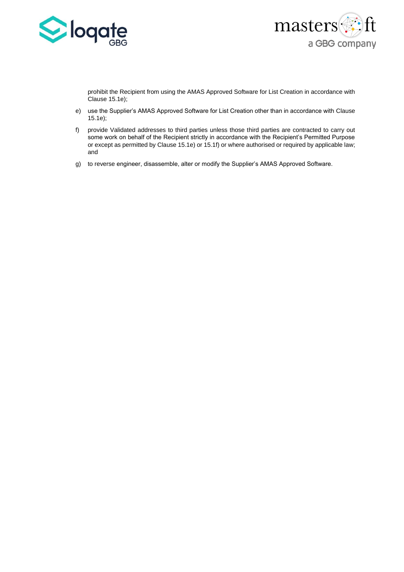



prohibit the Recipient from using the AMAS Approved Software for List Creation in accordance with Clause 15.1e);

- e) use the Supplier's AMAS Approved Software for List Creation other than in accordance with Clause 15.1e);
- f) provide Validated addresses to third parties unless those third parties are contracted to carry out some work on behalf of the Recipient strictly in accordance with the Recipient's Permitted Purpose or except as permitted by Clause 15.1e) or 15.1f) or where authorised or required by applicable law; and
- g) to reverse engineer, disassemble, alter or modify the Supplier's AMAS Approved Software.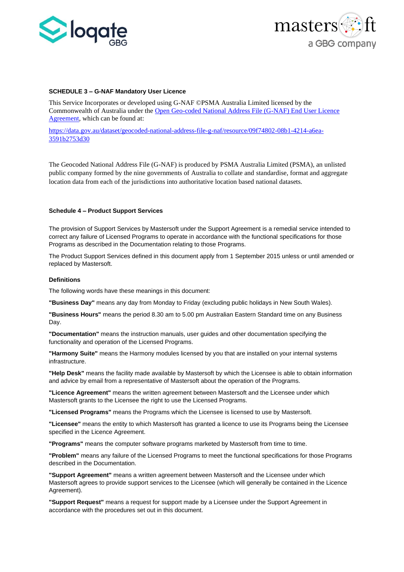



#### **SCHEDULE 3 – G-NAF Mandatory User Licence**

This Service Incorporates or developed using G-NAF ©PSMA Australia Limited licensed by the Commonwealth of Australia under the [Open Geo-coded National Address File \(G-NAF\) End User Licence](https://data.gov.au/dataset/geocoded-national-address-file-g-naf/resource/09f74802-08b1-4214-a6ea-3591b2753d30)  [Agreement,](https://data.gov.au/dataset/geocoded-national-address-file-g-naf/resource/09f74802-08b1-4214-a6ea-3591b2753d30) which can be found at:

[https://data.gov.au/dataset/geocoded-national-address-file-g-naf/resource/09f74802-08b1-4214-a6ea-](https://data.gov.au/dataset/geocoded-national-address-file-g-naf/resource/09f74802-08b1-4214-a6ea-3591b2753d30)[3591b2753d30](https://data.gov.au/dataset/geocoded-national-address-file-g-naf/resource/09f74802-08b1-4214-a6ea-3591b2753d30)

The Geocoded National Address File (G-NAF) is produced by PSMA Australia Limited (PSMA), an unlisted public company formed by the nine governments of Australia to collate and standardise, format and aggregate location data from each of the jurisdictions into authoritative location based national datasets.

#### **Schedule 4 – Product Support Services**

The provision of Support Services by Mastersoft under the Support Agreement is a remedial service intended to correct any failure of Licensed Programs to operate in accordance with the functional specifications for those Programs as described in the Documentation relating to those Programs.

The Product Support Services defined in this document apply from 1 September 2015 unless or until amended or replaced by Mastersoft.

#### **Definitions**

The following words have these meanings in this document:

**"Business Day"** means any day from Monday to Friday (excluding public holidays in New South Wales).

**"Business Hours"** means the period 8.30 am to 5.00 pm Australian Eastern Standard time on any Business Day.

**"Documentation"** means the instruction manuals, user guides and other documentation specifying the functionality and operation of the Licensed Programs.

**"Harmony Suite"** means the Harmony modules licensed by you that are installed on your internal systems infrastructure.

**"Help Desk"** means the facility made available by Mastersoft by which the Licensee is able to obtain information and advice by email from a representative of Mastersoft about the operation of the Programs.

**"Licence Agreement"** means the written agreement between Mastersoft and the Licensee under which Mastersoft grants to the Licensee the right to use the Licensed Programs.

**"Licensed Programs"** means the Programs which the Licensee is licensed to use by Mastersoft.

**"Licensee"** means the entity to which Mastersoft has granted a licence to use its Programs being the Licensee specified in the Licence Agreement.

**"Programs"** means the computer software programs marketed by Mastersoft from time to time.

**"Problem"** means any failure of the Licensed Programs to meet the functional specifications for those Programs described in the Documentation.

**"Support Agreement"** means a written agreement between Mastersoft and the Licensee under which Mastersoft agrees to provide support services to the Licensee (which will generally be contained in the Licence Agreement).

**"Support Request"** means a request for support made by a Licensee under the Support Agreement in accordance with the procedures set out in this document.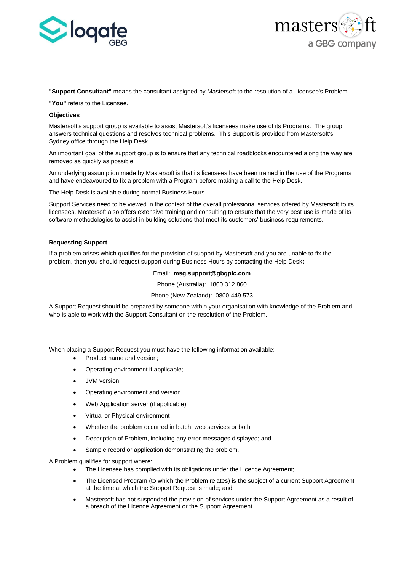



#### **"Support Consultant"** means the consultant assigned by Mastersoft to the resolution of a Licensee's Problem.

**"You"** refers to the Licensee.

## **Objectives**

Mastersoft's support group is available to assist Mastersoft's licensees make use of its Programs. The group answers technical questions and resolves technical problems. This Support is provided from Mastersoft's Sydney office through the Help Desk.

An important goal of the support group is to ensure that any technical roadblocks encountered along the way are removed as quickly as possible.

An underlying assumption made by Mastersoft is that its licensees have been trained in the use of the Programs and have endeavoured to fix a problem with a Program before making a call to the Help Desk.

The Help Desk is available during normal Business Hours.

Support Services need to be viewed in the context of the overall professional services offered by Mastersoft to its licensees. Mastersoft also offers extensive training and consulting to ensure that the very best use is made of its software methodologies to assist in building solutions that meet its customers' business requirements.

#### **Requesting Support**

If a problem arises which qualifies for the provision of support by Mastersoft and you are unable to fix the problem, then you should request support during Business Hours by contacting the Help Desk**:**

# Email: **msg.support@gbgplc.com**

Phone (Australia): 1800 312 860

Phone (New Zealand): 0800 449 573

A Support Request should be prepared by someone within your organisation with knowledge of the Problem and who is able to work with the Support Consultant on the resolution of the Problem.

When placing a Support Request you must have the following information available:

- Product name and version;
- Operating environment if applicable;
- JVM version
- Operating environment and version
- Web Application server (if applicable)
- Virtual or Physical environment
- Whether the problem occurred in batch, web services or both
- Description of Problem, including any error messages displayed; and
- Sample record or application demonstrating the problem.

A Problem qualifies for support where:

- The Licensee has complied with its obligations under the Licence Agreement;
- The Licensed Program (to which the Problem relates) is the subject of a current Support Agreement at the time at which the Support Request is made; and
- Mastersoft has not suspended the provision of services under the Support Agreement as a result of a breach of the Licence Agreement or the Support Agreement.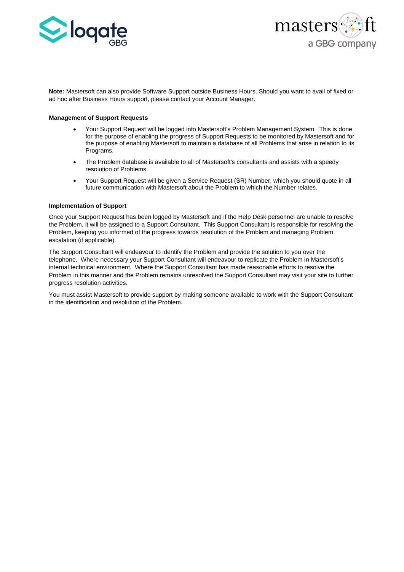



**Note:** Mastersoft can also provide Software Support outside Business Hours. Should you want to avail of fixed or ad hoc after Business Hours support, please contact your Account Manager.

#### **Management of Support Requests**

- Your Support Request will be logged into Mastersoft's Problem Management System. This is done for the purpose of enabling the progress of Support Requests to be monitored by Mastersoft and for the purpose of enabling Mastersoft to maintain a database of all Problems that arise in relation to its Programs.
- The Problem database is available to all of Mastersoft's consultants and assists with a speedy resolution of Problems.
- Your Support Request will be given a Service Request (SR) Number, which you should quote in all future communication with Mastersoft about the Problem to which the Number relates.

#### **Implementation of Support**

Once your Support Request has been logged by Mastersoft and if the Help Desk personnel are unable to resolve the Problem, it will be assigned to a Support Consultant. This Support Consultant is responsible for resolving the Problem, keeping you informed of the progress towards resolution of the Problem and managing Problem escalation (if applicable).

The Support Consultant will endeavour to identify the Problem and provide the solution to you over the telephone. Where necessary your Support Consultant will endeavour to replicate the Problem in Mastersoft's internal technical environment. Where the Support Consultant has made reasonable efforts to resolve the Problem in this manner and the Problem remains unresolved the Support Consultant may visit your site to further progress resolution activities.

You must assist Mastersoft to provide support by making someone available to work with the Support Consultant in the identification and resolution of the Problem.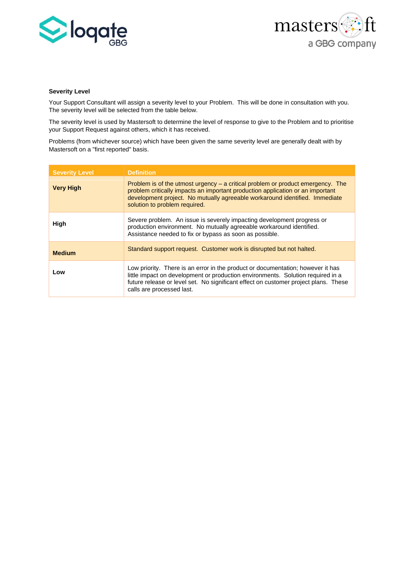



#### **Severity Level**

Your Support Consultant will assign a severity level to your Problem. This will be done in consultation with you. The severity level will be selected from the table below.

The severity level is used by Mastersoft to determine the level of response to give to the Problem and to prioritise your Support Request against others, which it has received.

Problems (from whichever source) which have been given the same severity level are generally dealt with by Mastersoft on a "first reported" basis.

| <b>Severity Level</b> | <b>Definition</b>                                                                                                                                                                                                                                                                      |
|-----------------------|----------------------------------------------------------------------------------------------------------------------------------------------------------------------------------------------------------------------------------------------------------------------------------------|
| <b>Very High</b>      | Problem is of the utmost urgency $-$ a critical problem or product emergency. The<br>problem critically impacts an important production application or an important<br>development project. No mutually agreeable workaround identified. Immediate<br>solution to problem required.    |
| High                  | Severe problem. An issue is severely impacting development progress or<br>production environment. No mutually agreeable workaround identified.<br>Assistance needed to fix or bypass as soon as possible.                                                                              |
| <b>Medium</b>         | Standard support request. Customer work is disrupted but not halted.                                                                                                                                                                                                                   |
| Low                   | Low priority. There is an error in the product or documentation; however it has<br>little impact on development or production environments. Solution required in a<br>future release or level set. No significant effect on customer project plans. These<br>calls are processed last. |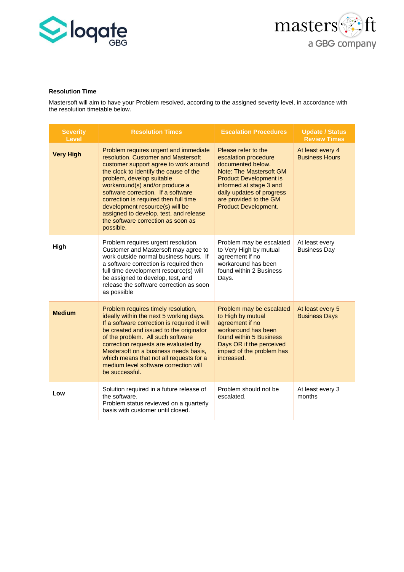



# **Resolution Time**

Mastersoft will aim to have your Problem resolved, according to the assigned severity level, in accordance with the resolution timetable below.

| <b>Severity</b><br>Level | <b>Resolution Times</b>                                                                                                                                                                                                                                                                                                                                                                                                                       | <b>Escalation Procedures</b>                                                                                                                                                                                                                  | <b>Update / Status</b><br><b>Review Times</b> |
|--------------------------|-----------------------------------------------------------------------------------------------------------------------------------------------------------------------------------------------------------------------------------------------------------------------------------------------------------------------------------------------------------------------------------------------------------------------------------------------|-----------------------------------------------------------------------------------------------------------------------------------------------------------------------------------------------------------------------------------------------|-----------------------------------------------|
| <b>Very High</b>         | Problem requires urgent and immediate<br>resolution. Customer and Mastersoft<br>customer support agree to work around<br>the clock to identify the cause of the<br>problem, develop suitable<br>workaround(s) and/or produce a<br>software correction. If a software<br>correction is required then full time<br>development resource(s) will be<br>assigned to develop, test, and release<br>the software correction as soon as<br>possible. | Please refer to the<br>escalation procedure<br>documented below.<br>Note: The Mastersoft GM<br><b>Product Development is</b><br>informed at stage 3 and<br>daily updates of progress<br>are provided to the GM<br><b>Product Development.</b> | At least every 4<br><b>Business Hours</b>     |
| High                     | Problem requires urgent resolution.<br>Customer and Mastersoft may agree to<br>work outside normal business hours. If<br>a software correction is required then<br>full time development resource(s) will<br>be assigned to develop, test, and<br>release the software correction as soon<br>as possible                                                                                                                                      | Problem may be escalated<br>to Very High by mutual<br>agreement if no<br>workaround has been<br>found within 2 Business<br>Days.                                                                                                              | At least every<br><b>Business Day</b>         |
| <b>Medium</b>            | Problem requires timely resolution,<br>ideally within the next 5 working days.<br>If a software correction is required it will<br>be created and issued to the originator<br>of the problem. All such software<br>correction requests are evaluated by<br>Mastersoft on a business needs basis,<br>which means that not all requests for a<br>medium level software correction will<br>be successful.                                         | Problem may be escalated<br>to High by mutual<br>agreement if no<br>workaround has been<br>found within 5 Business<br>Days OR if the perceived<br>impact of the problem has<br>increased.                                                     | At least every 5<br><b>Business Days</b>      |
| Low                      | Solution required in a future release of<br>the software.<br>Problem status reviewed on a quarterly<br>basis with customer until closed.                                                                                                                                                                                                                                                                                                      | Problem should not be<br>escalated.                                                                                                                                                                                                           | At least every 3<br>months                    |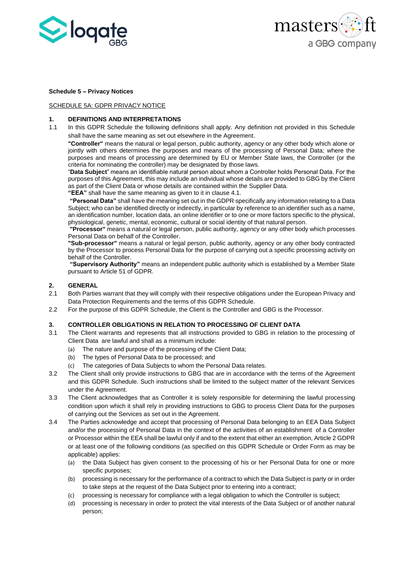



## **Schedule 5 – Privacy Notices**

# SCHEDULE 5A: GDPR PRIVACY NOTICE

## **1. DEFINITIONS AND INTERPRETATIONS**

1.1 In this GDPR Schedule the following definitions shall apply. Any definition not provided in this Schedule shall have the same meaning as set out elsewhere in the Agreement.

**"Controller"** means the natural or legal person, public authority, agency or any other body which alone or jointly with others determines the purposes and means of the processing of Personal Data; where the purposes and means of processing are determined by EU or Member State laws, the Controller (or the criteria for nominating the controller) may be designated by those laws.

"**Data Subject**" means an identifiable natural person about whom a Controller holds Personal Data. For the purposes of this Agreement, this may include an individual whose details are provided to GBG by the Client as part of the Client Data or whose details are contained within the Supplier Data.

**"EEA"** shall have the same meaning as given to it in clause 4.1.

**"Personal Data"** shall have the meaning set out in the GDPR specifically any information relating to a Data Subject; who can be identified directly or indirectly, in particular by reference to an identifier such as a name, an identification number, location data, an online identifier or to one or more factors specific to the physical, physiological, genetic, mental, economic, cultural or social identity of that natural person.

**"Processor"** means a natural or legal person, public authority, agency or any other body which processes Personal Data on behalf of the Controller.

**"Sub-processor"** means a natural or legal person, public authority, agency or any other body contracted by the Processor to process Personal Data for the purpose of carrying out a specific processing activity on behalf of the Controller.

**"Supervisory Authority"** means an independent public authority which is established by a Member State pursuant to Article 51 of GDPR.

# **2. GENERAL**

- 2.1 Both Parties warrant that they will comply with their respective obligations under the European Privacy and Data Protection Requirements and the terms of this GDPR Schedule.
- 2.2 For the purpose of this GDPR Schedule, the Client is the Controller and GBG is the Processor.

## **3. CONTROLLER OBLIGATIONS IN RELATION TO PROCESSING OF CLIENT DATA**

- 3.1 The Client warrants and represents that all instructions provided to GBG in relation to the processing of Client Data are lawful and shall as a minimum include:
	- (a) The nature and purpose of the processing of the Client Data;
	- (b) The types of Personal Data to be processed; and
	- (c) The categories of Data Subjects to whom the Personal Data relates.
- 3.2 The Client shall only provide instructions to GBG that are in accordance with the terms of the Agreement and this GDPR Schedule. Such instructions shall be limited to the subject matter of the relevant Services under the Agreement.
- 3.3 The Client acknowledges that as Controller it is solely responsible for determining the lawful processing condition upon which it shall rely in providing instructions to GBG to process Client Data for the purposes of carrying out the Services as set out in the Agreement.
- 3.4 The Parties acknowledge and accept that processing of Personal Data belonging to an EEA Data Subject and/or the processing of Personal Data in the context of the activities of an establishment of a Controller or Processor within the EEA shall be lawful only if and to the extent that either an exemption, Article 2 GDPR or at least one of the following conditions (as specified on this GDPR Schedule or Order Form as may be applicable) applies:
	- (a) the Data Subject has given consent to the processing of his or her Personal Data for one or more specific purposes;
	- (b) processing is necessary for the performance of a contract to which the Data Subject is party or in order to take steps at the request of the Data Subject prior to entering into a contract;
	- (c) processing is necessary for compliance with a legal obligation to which the Controller is subject;
	- (d) processing is necessary in order to protect the vital interests of the Data Subject or of another natural person;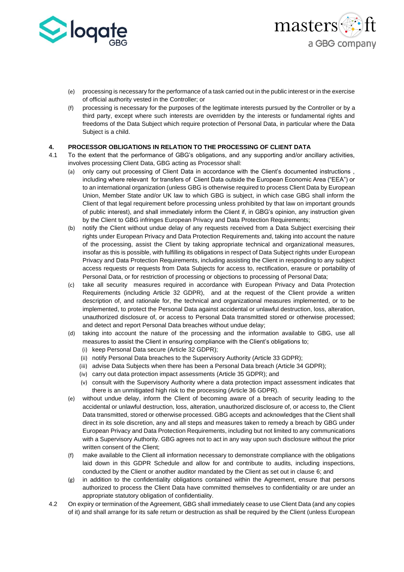



- (e) processing is necessary for the performance of a task carried out in the public interest or in the exercise of official authority vested in the Controller; or
- (f) processing is necessary for the purposes of the legitimate interests pursued by the Controller or by a third party, except where such interests are overridden by the interests or fundamental rights and freedoms of the Data Subject which require protection of Personal Data, in particular where the Data Subject is a child.

# **4. PROCESSOR OBLIGATIONS IN RELATION TO THE PROCESSING OF CLIENT DATA**

- 4.1 To the extent that the performance of GBG's obligations, and any supporting and/or ancillary activities, involves processing Client Data, GBG acting as Processor shall:
	- (a) only carry out processing of Client Data in accordance with the Client's documented instructions , including where relevant for transfers of Client Data outside the European Economic Area ("EEA") or to an international organization (unless GBG is otherwise required to process Client Data by European Union, Member State and/or UK law to which GBG is subject, in which case GBG shall inform the Client of that legal requirement before processing unless prohibited by that law on important grounds of public interest), and shall immediately inform the Client if, in GBG's opinion, any instruction given by the Client to GBG infringes European Privacy and Data Protection Requirements;
	- (b) notify the Client without undue delay of any requests received from a Data Subject exercising their rights under European Privacy and Data Protection Requirements and, taking into account the nature of the processing, assist the Client by taking appropriate technical and organizational measures, insofar as this is possible, with fulfilling its obligations in respect of Data Subject rights under European Privacy and Data Protection Requirements, including assisting the Client in responding to any subject access requests or requests from Data Subjects for access to, rectification, erasure or portability of Personal Data, or for restriction of processing or objections to processing of Personal Data;
	- (c) take all security measures required in accordance with European Privacy and Data Protection Requirements (including Article 32 GDPR), and at the request of the Client provide a written description of, and rationale for, the technical and organizational measures implemented, or to be implemented, to protect the Personal Data against accidental or unlawful destruction, loss, alteration, unauthorized disclosure of, or access to Personal Data transmitted stored or otherwise processed; and detect and report Personal Data breaches without undue delay;
	- (d) taking into account the nature of the processing and the information available to GBG, use all measures to assist the Client in ensuring compliance with the Client's obligations to;
		- (i) keep Personal Data secure (Article 32 GDPR);
		- (ii) notify Personal Data breaches to the Supervisory Authority (Article 33 GDPR);
		- (iii) advise Data Subjects when there has been a Personal Data breach (Article 34 GDPR);
		- (iv) carry out data protection impact assessments (Article 35 GDPR); and
		- (v) consult with the Supervisory Authority where a data protection impact assessment indicates that there is an unmitigated high risk to the processing (Article 36 GDPR).
	- (e) without undue delay, inform the Client of becoming aware of a breach of security leading to the accidental or unlawful destruction, loss, alteration, unauthorized disclosure of, or access to, the Client Data transmitted, stored or otherwise processed. GBG accepts and acknowledges that the Client shall direct in its sole discretion, any and all steps and measures taken to remedy a breach by GBG under European Privacy and Data Protection Requirements, including but not limited to any communications with a Supervisory Authority. GBG agrees not to act in any way upon such disclosure without the prior written consent of the Client;
	- (f) make available to the Client all information necessary to demonstrate compliance with the obligations laid down in this GDPR Schedule and allow for and contribute to audits, including inspections, conducted by the Client or another auditor mandated by the Client as set out in clause [6;](#page-31-0) and
	- (g) in addition to the confidentiality obligations contained within the Agreement, ensure that persons authorized to process the Client Data have committed themselves to confidentiality or are under an appropriate statutory obligation of confidentiality.
- 4.2 On expiry or termination of the Agreement, GBG shall immediately cease to use Client Data (and any copies of it) and shall arrange for its safe return or destruction as shall be required by the Client (unless European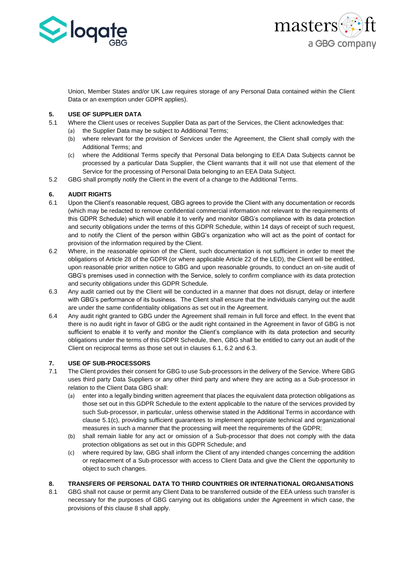



Union, Member States and/or UK Law requires storage of any Personal Data contained within the Client Data or an exemption under GDPR applies).

# **5. USE OF SUPPLIER DATA**

- 5.1 Where the Client uses or receives Supplier Data as part of the Services, the Client acknowledges that:
	- (a) the Supplier Data may be subject to Additional Terms;
	- (b) where relevant for the provision of Services under the Agreement, the Client shall comply with the Additional Terms; and
	- (c) where the Additional Terms specify that Personal Data belonging to EEA Data Subjects cannot be processed by a particular Data Supplier, the Client warrants that it will not use that element of the Service for the processing of Personal Data belonging to an EEA Data Subject.
- 5.2 GBG shall promptly notify the Client in the event of a change to the Additional Terms.

# <span id="page-31-0"></span>**6. AUDIT RIGHTS**

- <span id="page-31-1"></span>6.1 Upon the Client's reasonable request, GBG agrees to provide the Client with any documentation or records (which may be redacted to remove confidential commercial information not relevant to the requirements of this GDPR Schedule) which will enable it to verify and monitor GBG's compliance with its data protection and security obligations under the terms of this GDPR Schedule, within 14 days of receipt of such request, and to notify the Client of the person within GBG's organization who will act as the point of contact for provision of the information required by the Client.
- <span id="page-31-2"></span>6.2 Where, in the reasonable opinion of the Client, such documentation is not sufficient in order to meet the obligations of Article 28 of the GDPR (or where applicable Article 22 of the LED), the Client will be entitled, upon reasonable prior written notice to GBG and upon reasonable grounds, to conduct an on-site audit of GBG's premises used in connection with the Service, solely to confirm compliance with its data protection and security obligations under this GDPR Schedule.
- <span id="page-31-3"></span>6.3 Any audit carried out by the Client will be conducted in a manner that does not disrupt, delay or interfere with GBG's performance of its business. The Client shall ensure that the individuals carrying out the audit are under the same confidentiality obligations as set out in the Agreement.
- 6.4 Any audit right granted to GBG under the Agreement shall remain in full force and effect. In the event that there is no audit right in favor of GBG or the audit right contained in the Agreement in favor of GBG is not sufficient to enable it to verify and monitor the Client's compliance with its data protection and security obligations under the terms of this GDPR Schedule, then, GBG shall be entitled to carry out an audit of the Client on reciprocal terms as those set out in clauses [6.1,](#page-31-1) [6.2](#page-31-2) an[d 6.3.](#page-31-3)

# **7. USE OF SUB-PROCESSORS**

- 7.1 The Client provides their consent for GBG to use Sub-processors in the delivery of the Service. Where GBG uses third party Data Suppliers or any other third party and where they are acting as a Sub-processor in relation to the Client Data GBG shall:
	- (a) enter into a legally binding written agreement that places the equivalent data protection obligations as those set out in this GDPR Schedule to the extent applicable to the nature of the services provided by such Sub-processor, in particular, unless otherwise stated in the Additional Terms in accordance with clause 5.1(c), providing sufficient guarantees to implement appropriate technical and organizational measures in such a manner that the processing will meet the requirements of the GDPR;
	- (b) shall remain liable for any act or omission of a Sub-processor that does not comply with the data protection obligations as set out in this GDPR Schedule; and
	- (c) where required by law, GBG shall inform the Client of any intended changes concerning the addition or replacement of a Sub-processor with access to Client Data and give the Client the opportunity to object to such changes.

# <span id="page-31-4"></span>**8. TRANSFERS OF PERSONAL DATA TO THIRD COUNTRIES OR INTERNATIONAL ORGANISATIONS**

8.1 GBG shall not cause or permit any Client Data to be transferred outside of the EEA unless such transfer is necessary for the purposes of GBG carrying out its obligations under the Agreement in which case, the provisions of this clause [8](#page-31-4) shall apply.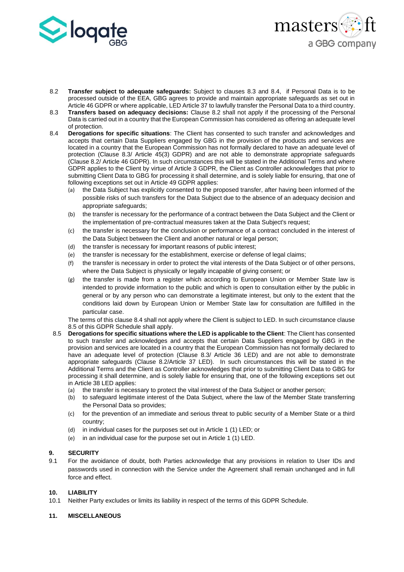



- <span id="page-32-2"></span>8.2 **Transfer subject to adequate safeguards:** Subject to clauses [8.3](#page-32-0) and [8.4,](#page-32-1) if Personal Data is to be processed outside of the EEA, GBG agrees to provide and maintain appropriate safeguards as set out in Article 46 GDPR or where applicable, LED Article 37 to lawfully transfer the Personal Data to a third country.
- <span id="page-32-0"></span>8.3 **Transfers based on adequacy decisions:** Clause [8.2](#page-32-2) shall not apply if the processing of the Personal Data is carried out in a country that the European Commission has considered as offering an adequate level of protection.
- <span id="page-32-1"></span>8.4 **Derogations for specific situations**: The Client has consented to such transfer and acknowledges and accepts that certain Data Suppliers engaged by GBG in the provision of the products and services are located in a country that the European Commission has not formally declared to have an adequate level of protection (Clause [8.3/](#page-32-0) Article 45(3) GDPR) and are not able to demonstrate appropriate safeguards (Clause [8.2/](#page-32-2) Article 46 GDPR). In such circumstances this will be stated in the Additional Terms and where GDPR applies to the Client by virtue of Article 3 GDPR, the Client as Controller acknowledges that prior to submitting Client Data to GBG for processing it shall determine, and is solely liable for ensuring, that one of following exceptions set out in Article 49 GDPR applies:
	- (a) the Data Subject has explicitly consented to the proposed transfer, after having been informed of the possible risks of such transfers for the Data Subject due to the absence of an adequacy decision and appropriate safeguards;
	- (b) the transfer is necessary for the performance of a contract between the Data Subject and the Client or the implementation of pre-contractual measures taken at the Data Subject's request;
	- (c) the transfer is necessary for the conclusion or performance of a contract concluded in the interest of the Data Subject between the Client and another natural or legal person;
	- (d) the transfer is necessary for important reasons of public interest;
	- (e) the transfer is necessary for the establishment, exercise or defense of legal claims;
	- (f) the transfer is necessary in order to protect the vital interests of the Data Subject or of other persons, where the Data Subject is physically or legally incapable of giving consent; or
	- (g) the transfer is made from a register which according to European Union or Member State law is intended to provide information to the public and which is open to consultation either by the public in general or by any person who can demonstrate a legitimate interest, but only to the extent that the conditions laid down by European Union or Member State law for consultation are fulfilled in the particular case.

The terms of this clause 8.4 shall not apply where the Client is subject to LED. In such circumstance clause 8.5 of this GDPR Schedule shall apply.

- 8.5 **Derogations for specific situations where the LED is applicable to the Client**: The Client has consented to such transfer and acknowledges and accepts that certain Data Suppliers engaged by GBG in the provision and services are located in a country that the European Commission has not formally declared to have an adequate level of protection (Clause 8.3/ Article 36 LED) and are not able to demonstrate appropriate safeguards (Clause 8.2/Article 37 LED). In such circumstances this will be stated in the Additional Terms and the Client as Controller acknowledges that prior to submitting Client Data to GBG for processing it shall determine, and is solely liable for ensuring that, one of the following exceptions set out in Article 38 LED applies:
	- (a) the transfer is necessary to protect the vital interest of the Data Subject or another person;
	- (b) to safeguard legitimate interest of the Data Subject, where the law of the Member State transferring the Personal Data so provides;
	- (c) for the prevention of an immediate and serious threat to public security of a Member State or a third country;
	- (d) in individual cases for the purposes set out in Article 1 (1) LED; or
	- (e) in an individual case for the purpose set out in Article 1 (1) LED.

#### **9. SECURITY**

9.1 For the avoidance of doubt, both Parties acknowledge that any provisions in relation to User IDs and passwords used in connection with the Service under the Agreement shall remain unchanged and in full force and effect.

#### **10. LIABILITY**

10.1 Neither Party excludes or limits its liability in respect of the terms of this GDPR Schedule.

#### **11. MISCELLANEOUS**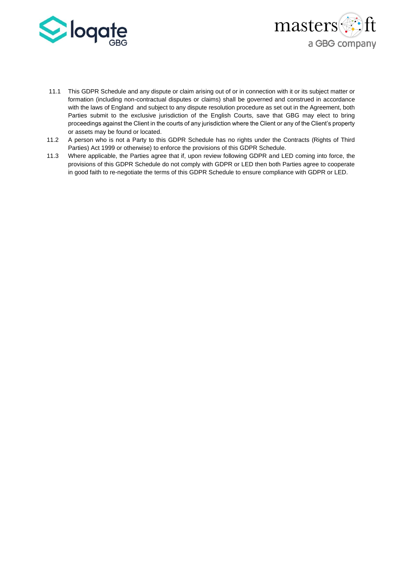



- 11.1 This GDPR Schedule and any dispute or claim arising out of or in connection with it or its subject matter or formation (including non-contractual disputes or claims) shall be governed and construed in accordance with the laws of England and subject to any dispute resolution procedure as set out in the Agreement, both Parties submit to the exclusive jurisdiction of the English Courts, save that GBG may elect to bring proceedings against the Client in the courts of any jurisdiction where the Client or any of the Client's property or assets may be found or located.
- 11.2 A person who is not a Party to this GDPR Schedule has no rights under the Contracts (Rights of Third Parties) Act 1999 or otherwise) to enforce the provisions of this GDPR Schedule.
- 11.3 Where applicable, the Parties agree that if, upon review following GDPR and LED coming into force, the provisions of this GDPR Schedule do not comply with GDPR or LED then both Parties agree to cooperate in good faith to re-negotiate the terms of this GDPR Schedule to ensure compliance with GDPR or LED.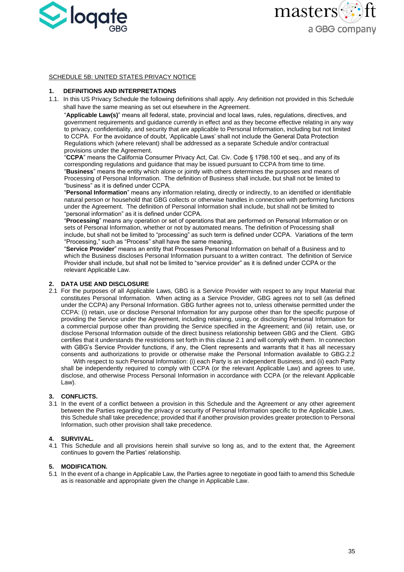



#### SCHEDULE 5B: UNITED STATES PRIVACY NOTICE

#### **1. DEFINITIONS AND INTERPRETATIONS**

1.1. In this US Privacy Schedule the following definitions shall apply. Any definition not provided in this Schedule shall have the same meaning as set out elsewhere in the Agreement.

"**Applicable Law(s)**" means all federal, state, provincial and local laws, rules, regulations, directives, and government requirements and guidance currently in effect and as they become effective relating in any way to privacy, confidentiality, and security that are applicable to Personal Information, including but not limited to CCPA. For the avoidance of doubt, 'Applicable Laws' shall not include the General Data Protection Regulations which (where relevant) shall be addressed as a separate Schedule and/or contractual provisions under the Agreement.

"**CCPA**" means the California Consumer Privacy Act, Cal. Civ. Code § 1798.100 et seq., and any of its corresponding regulations and guidance that may be issued pursuant to CCPA from time to time. "**Business**" means the entity which alone or jointly with others determines the purposes and means of Processing of Personal Information. The definition of Business shall include, but shall not be limited to "business" as it is defined under CCPA.

"**Personal Information**" means any information relating, directly or indirectly, to an identified or identifiable natural person or household that GBG collects or otherwise handles in connection with performing functions under the Agreement. The definition of Personal Information shall include, but shall not be limited to "personal information" as it is defined under CCPA.

"**Processing**" means any operation or set of operations that are performed on Personal Information or on sets of Personal Information, whether or not by automated means. The definition of Processing shall include, but shall not be limited to "processing" as such term is defined under CCPA. Variations of the term "Processing," such as "Process" shall have the same meaning.

"**Service Provider**" means an entity that Processes Personal Information on behalf of a Business and to which the Business discloses Personal Information pursuant to a written contract. The definition of Service Provider shall include, but shall not be limited to "service provider" as it is defined under CCPA or the relevant Applicable Law.

#### **2. DATA USE AND DISCLOSURE**

2.1 For the purposes of all Applicable Laws, GBG is a Service Provider with respect to any Input Material that constitutes Personal Information. When acting as a Service Provider, GBG agrees not to sell (as defined under the CCPA) any Personal Information. GBG further agrees not to, unless otherwise permitted under the CCPA: (i) retain, use or disclose Personal Information for any purpose other than for the specific purpose of providing the Service under the Agreement, including retaining, using, or disclosing Personal Information for a commercial purpose other than providing the Service specified in the Agreement; and (iii) retain, use, or disclose Personal Information outside of the direct business relationship between GBG and the Client. GBG certifies that it understands the restrictions set forth in this clause 2.1 and will comply with them. In connection with GBG's Service Provider functions, if any, the Client represents and warrants that it has all necessary consents and authorizations to provide or otherwise make the Personal Information available to GBG.2.2

With respect to such Personal Information: (i) each Party is an independent Business, and (ii) each Party shall be independently required to comply with CCPA (or the relevant Applicable Law) and agrees to use, disclose, and otherwise Process Personal Information in accordance with CCPA (or the relevant Applicable Law).

## **3. CONFLICTS.**

3.1 In the event of a conflict between a provision in this Schedule and the Agreement or any other agreement between the Parties regarding the privacy or security of Personal Information specific to the Applicable Laws, this Schedule shall take precedence; provided that if another provision provides greater protection to Personal Information, such other provision shall take precedence.

#### **4. SURVIVAL.**

4.1 This Schedule and all provisions herein shall survive so long as, and to the extent that, the Agreement continues to govern the Parties' relationship.

#### **5. MODIFICATION.**

5.1 In the event of a change in Applicable Law, the Parties agree to negotiate in good faith to amend this Schedule as is reasonable and appropriate given the change in Applicable Law.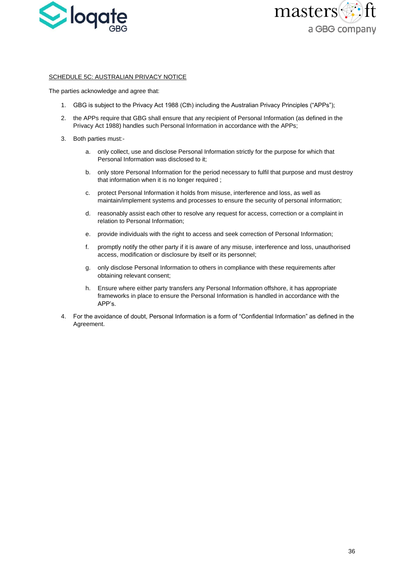



#### SCHEDULE 5C: AUSTRALIAN PRIVACY NOTICE

The parties acknowledge and agree that:

- 1. GBG is subject to the Privacy Act 1988 (Cth) including the Australian Privacy Principles ("APPs");
- 2. the APPs require that GBG shall ensure that any recipient of Personal Information (as defined in the Privacy Act 1988) handles such Personal Information in accordance with the APPs;
- 3. Both parties must:
	- a. only collect, use and disclose Personal Information strictly for the purpose for which that Personal Information was disclosed to it;
	- b. only store Personal Information for the period necessary to fulfil that purpose and must destroy that information when it is no longer required ;
	- c. protect Personal Information it holds from misuse, interference and loss, as well as maintain/implement systems and processes to ensure the security of personal information;
	- d. reasonably assist each other to resolve any request for access, correction or a complaint in relation to Personal Information;
	- e. provide individuals with the right to access and seek correction of Personal Information;
	- f. promptly notify the other party if it is aware of any misuse, interference and loss, unauthorised access, modification or disclosure by itself or its personnel;
	- g. only disclose Personal Information to others in compliance with these requirements after obtaining relevant consent;
	- h. Ensure where either party transfers any Personal Information offshore, it has appropriate frameworks in place to ensure the Personal Information is handled in accordance with the APP's.
- 4. For the avoidance of doubt, Personal Information is a form of "Confidential Information" as defined in the Agreement.